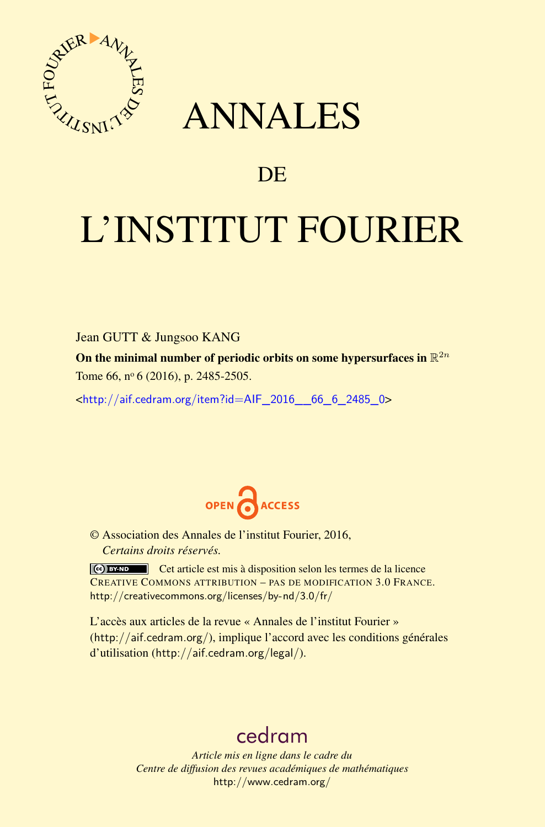

## ANNALES

## **DE**

# L'INSTITUT FOURIER

Jean GUTT & Jungsoo KANG

On the minimal number of periodic orbits on some hypersurfaces in  $\mathbb{R}^{2n}$ Tome 66, nº 6 (2016), p. 2485-2505.

 $\kappa$ http://aif.cedram.org/item?id=AIF 2016 66 6 2485 0>



© Association des Annales de l'institut Fourier, 2016, *Certains droits réservés.*

Cet article est mis à disposition selon les termes de la licence CREATIVE COMMONS ATTRIBUTION – PAS DE MODIFICATION 3.0 FRANCE. <http://creativecommons.org/licenses/by-nd/3.0/fr/>

L'accès aux articles de la revue « Annales de l'institut Fourier » (<http://aif.cedram.org/>), implique l'accord avec les conditions générales d'utilisation (<http://aif.cedram.org/legal/>).

## [cedram](http://www.cedram.org/)

*Article mis en ligne dans le cadre du Centre de diffusion des revues académiques de mathématiques* <http://www.cedram.org/>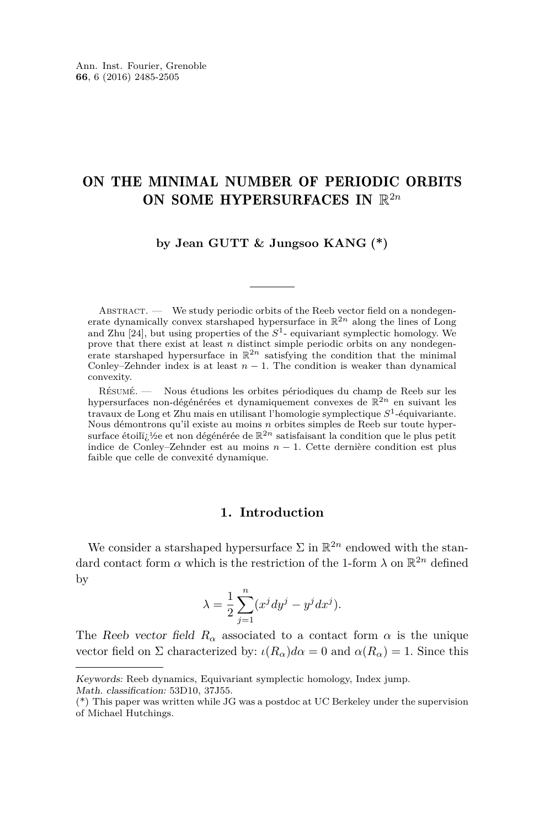### ON THE MINIMAL NUMBER OF PERIODIC ORBITS ON SOME HYPERSURFACES IN  $\mathbb{R}^{2n}$

**by Jean GUTT & Jungsoo KANG (\*)**

ABSTRACT. — We study periodic orbits of the Reeb vector field on a nondegenerate dynamically convex starshaped hypersurface in  $\mathbb{R}^{2n}$  along the lines of Long and Zhu [\[24\]](#page-21-0), but using properties of the *S* 1 - equivariant symplectic homology. We prove that there exist at least *n* distinct simple periodic orbits on any nondegenerate starshaped hypersurface in  $\mathbb{R}^{2n}$  satisfying the condition that the minimal Conley–Zehnder index is at least  $n-1$ . The condition is weaker than dynamical convexity.

Résumé. — Nous étudions les orbites périodiques du champ de Reeb sur les hypersurfaces non-dégénérées et dynamiquement convexes de R2*<sup>n</sup>* en suivant les travaux de Long et Zhu mais en utilisant l'homologie symplectique *S* 1 -équivariante. Nous démontrons qu'il existe au moins *n* orbites simples de Reeb sur toute hypersurface étoiliz  $\frac{1}{2}$ e et non dégénérée de  $\mathbb{R}^{2n}$  satisfaisant la condition que le plus petit indice de Conley–Zehnder est au moins *n* − 1. Cette dernière condition est plus faible que celle de convexité dynamique.

#### **1. Introduction**

We consider a starshaped hypersurface  $\Sigma$  in  $\mathbb{R}^{2n}$  endowed with the standard contact form  $\alpha$  which is the restriction of the 1-form  $\lambda$  on  $\mathbb{R}^{2n}$  defined by

$$
\lambda = \frac{1}{2} \sum_{j=1}^{n} (x^j dy^j - y^j dx^j).
$$

The Reeb vector field  $R_\alpha$  associated to a contact form  $\alpha$  is the unique vector field on Σ characterized by:  $i(R_\alpha)d\alpha = 0$  and  $\alpha(R_\alpha) = 1$ . Since this

Keywords: Reeb dynamics, Equivariant symplectic homology, Index jump.

Math. classification: 53D10, 37J55.

<sup>(\*)</sup> This paper was written while JG was a postdoc at UC Berkeley under the supervision of Michael Hutchings.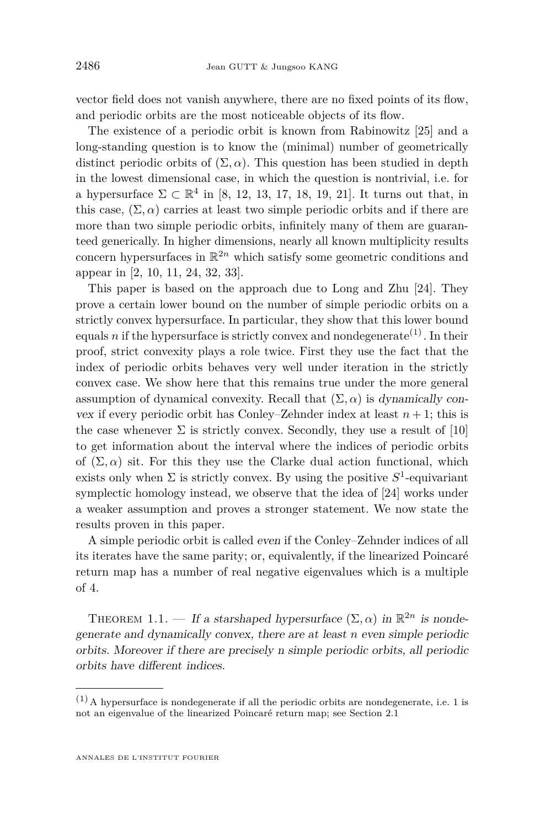vector field does not vanish anywhere, there are no fixed points of its flow, and periodic orbits are the most noticeable objects of its flow.

The existence of a periodic orbit is known from Rabinowitz [\[25\]](#page-21-1) and a long-standing question is to know the (minimal) number of geometrically distinct periodic orbits of  $(\Sigma, \alpha)$ . This question has been studied in depth in the lowest dimensional case, in which the question is nontrivial, i.e. for a hypersurface  $\Sigma \subset \mathbb{R}^4$  in [\[8,](#page-20-0) [12,](#page-20-1) [13,](#page-20-2) [17,](#page-20-3) [18,](#page-20-4) [19,](#page-20-5) [21\]](#page-21-2). It turns out that, in this case,  $(\Sigma, \alpha)$  carries at least two simple periodic orbits and if there are more than two simple periodic orbits, infinitely many of them are guaranteed generically. In higher dimensions, nearly all known multiplicity results concern hypersurfaces in  $\mathbb{R}^{2n}$  which satisfy some geometric conditions and appear in [\[2,](#page-20-6) [10,](#page-20-7) [11,](#page-20-8) [24,](#page-21-0) [32,](#page-21-3) [33\]](#page-21-4).

This paper is based on the approach due to Long and Zhu [\[24\]](#page-21-0). They prove a certain lower bound on the number of simple periodic orbits on a strictly convex hypersurface. In particular, they show that this lower bound equals *n* if the hypersurface is strictly convex and nondegenerate<sup>(1)</sup>. In their proof, strict convexity plays a role twice. First they use the fact that the index of periodic orbits behaves very well under iteration in the strictly convex case. We show here that this remains true under the more general assumption of dynamical convexity. Recall that  $(\Sigma, \alpha)$  is dynamically convex if every periodic orbit has Conley–Zehnder index at least  $n + 1$ ; this is the case whenever  $\Sigma$  is strictly convex. Secondly, they use a result of [\[10\]](#page-20-7) to get information about the interval where the indices of periodic orbits of  $(\Sigma, \alpha)$  sit. For this they use the Clarke dual action functional, which exists only when  $\Sigma$  is strictly convex. By using the positive  $S^1$ -equivariant symplectic homology instead, we observe that the idea of [\[24\]](#page-21-0) works under a weaker assumption and proves a stronger statement. We now state the results proven in this paper.

A simple periodic orbit is called even if the Conley–Zehnder indices of all its iterates have the same parity; or, equivalently, if the linearized Poincaré return map has a number of real negative eigenvalues which is a multiple of 4.

<span id="page-2-0"></span>THEOREM 1.1. — If a starshaped hypersurface  $(\Sigma, \alpha)$  in  $\mathbb{R}^{2n}$  is nondegenerate and dynamically convex, there are at least *n* even simple periodic orbits. Moreover if there are precisely n simple periodic orbits, all periodic orbits have different indices.

 $(1)$  A hypersurface is nondegenerate if all the periodic orbits are nondegenerate, i.e. 1 is not an eigenvalue of the linearized Poincaré return map; see Section [2.1](#page-4-0)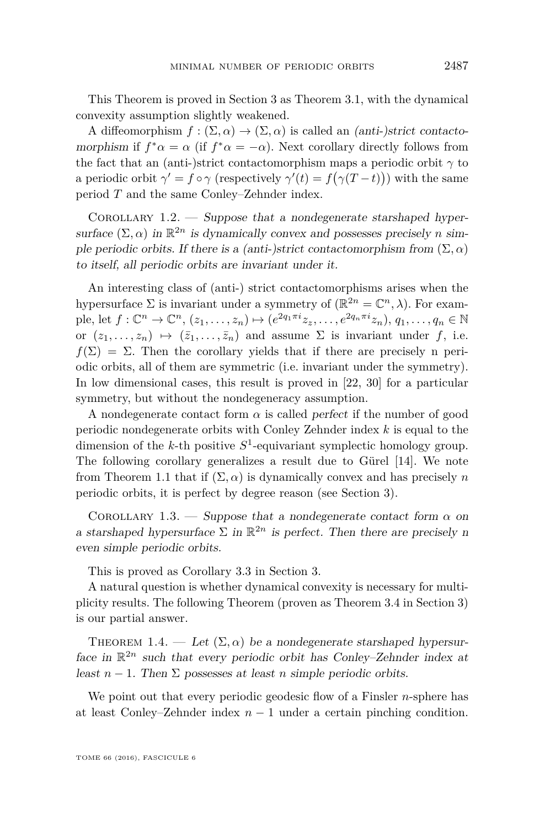This Theorem is proved in Section [3](#page-11-0) as Theorem [3.1,](#page-11-1) with the dynamical convexity assumption slightly weakened.

A diffeomorphism  $f : (\Sigma, \alpha) \to (\Sigma, \alpha)$  is called an *(anti-)strict contacto*morphism if  $f^*\alpha = \alpha$  (if  $f^*\alpha = -\alpha$ ). Next corollary directly follows from the fact that an (anti-)strict contactomorphism maps a periodic orbit  $\gamma$  to a periodic orbit  $\gamma' = f \circ \gamma$  (respectively  $\gamma'(t) = f(\gamma(T-t))$ ) with the same period *T* and the same Conley–Zehnder index.

COROLLARY  $1.2.$  — Suppose that a nondegenerate starshaped hypersurface  $(\Sigma, \alpha)$  in  $\mathbb{R}^{2n}$  is dynamically convex and possesses precisely *n* simple periodic orbits. If there is a (anti-)strict contactomorphism from  $(\Sigma, \alpha)$ to itself, all periodic orbits are invariant under it.

An interesting class of (anti-) strict contactomorphisms arises when the hypersurface  $\Sigma$  is invariant under a symmetry of  $(\mathbb{R}^{2n} = \mathbb{C}^n, \lambda)$ . For example, let  $f: \mathbb{C}^n \to \mathbb{C}^n$ ,  $(z_1, \ldots, z_n) \mapsto (e^{2q_1 \pi i} z_z, \ldots, e^{2q_n \pi i} z_n), q_1, \ldots, q_n \in \mathbb{N}$ or  $(z_1, \ldots, z_n) \mapsto (\bar{z}_1, \ldots, \bar{z}_n)$  and assume  $\Sigma$  is invariant under *f*, i.e.  $f(\Sigma) = \Sigma$ . Then the corollary yields that if there are precisely n periodic orbits, all of them are symmetric (i.e. invariant under the symmetry). In low dimensional cases, this result is proved in [\[22,](#page-21-5) [30\]](#page-21-6) for a particular symmetry, but without the nondegeneracy assumption.

A nondegenerate contact form  $\alpha$  is called *perfect* if the number of good periodic nondegenerate orbits with Conley Zehnder index *k* is equal to the dimension of the *k*-th positive  $S^1$ -equivariant symplectic homology group. The following corollary generalizes a result due to Gürel [\[14\]](#page-20-9). We note from Theorem [1.1](#page-2-0) that if  $(\Sigma, \alpha)$  is dynamically convex and has precisely *n* periodic orbits, it is perfect by degree reason (see Section [3\)](#page-11-0).

<span id="page-3-1"></span>COROLLARY 1.3. — Suppose that a nondegenerate contact form  $\alpha$  on a starshaped hypersurface  $\Sigma$  in  $\mathbb{R}^{2n}$  is perfect. Then there are precisely n even simple periodic orbits.

This is proved as Corollary [3.3](#page-12-0) in Section [3.](#page-11-0)

A natural question is whether dynamical convexity is necessary for multiplicity results. The following Theorem (proven as Theorem [3.4](#page-12-1) in Section [3\)](#page-11-0) is our partial answer.

<span id="page-3-0"></span>THEOREM 1.4. — Let  $(\Sigma, \alpha)$  be a nondegenerate starshaped hypersurface in  $\mathbb{R}^{2n}$  such that every periodic orbit has Conley-Zehnder index at least  $n-1$ . Then  $\Sigma$  possesses at least *n* simple periodic orbits.

We point out that every periodic geodesic flow of a Finsler *n*-sphere has at least Conley–Zehnder index  $n-1$  under a certain pinching condition.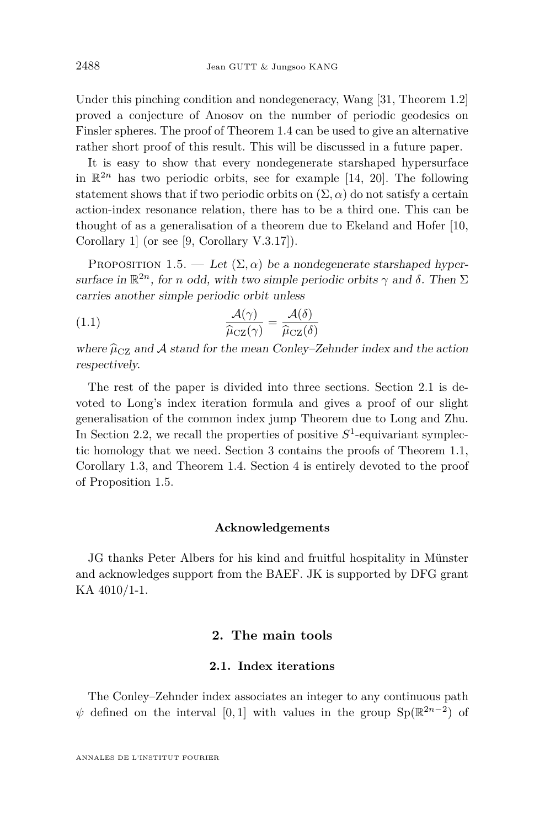Under this pinching condition and nondegeneracy, Wang [\[31,](#page-21-7) Theorem 1.2] proved a conjecture of Anosov on the number of periodic geodesics on Finsler spheres. The proof of Theorem [1.4](#page-3-0) can be used to give an alternative rather short proof of this result. This will be discussed in a future paper.

It is easy to show that every nondegenerate starshaped hypersurface in  $\mathbb{R}^{2n}$  has two periodic orbits, see for example [\[14,](#page-20-9) [20\]](#page-20-10). The following statement shows that if two periodic orbits on  $(\Sigma, \alpha)$  do not satisfy a certain action-index resonance relation, there has to be a third one. This can be thought of as a generalisation of a theorem due to Ekeland and Hofer [\[10,](#page-20-7) Corollary 1] (or see [\[9,](#page-20-11) Corollary V.3.17]).

<span id="page-4-1"></span>PROPOSITION 1.5. — Let  $(\Sigma, \alpha)$  be a nondegenerate starshaped hypersurface in  $\mathbb{R}^{2n}$ , for *n* odd, with two simple periodic orbits  $\gamma$  and  $\delta$ . Then  $\Sigma$ carries another simple periodic orbit unless

<span id="page-4-2"></span>(1.1) 
$$
\frac{\mathcal{A}(\gamma)}{\widehat{\mu}_{\text{CZ}}(\gamma)} = \frac{\mathcal{A}(\delta)}{\widehat{\mu}_{\text{CZ}}(\delta)}
$$

where  $\hat{\mu}_{CZ}$  and  $\hat{\mathcal{A}}$  stand for the mean Conley–Zehnder index and the action respectively.

The rest of the paper is divided into three sections. Section [2.1](#page-4-0) is devoted to Long's index iteration formula and gives a proof of our slight generalisation of the common index jump Theorem due to Long and Zhu. In Section [2.2,](#page-10-0) we recall the properties of positive  $S^1$ -equivariant symplectic homology that we need. Section [3](#page-11-0) contains the proofs of Theorem [1.1,](#page-2-0) Corollary [1.3,](#page-3-1) and Theorem [1.4.](#page-3-0) Section [4](#page-15-0) is entirely devoted to the proof of Proposition [1.5.](#page-4-1)

#### **Acknowledgements**

JG thanks Peter Albers for his kind and fruitful hospitality in Münster and acknowledges support from the BAEF. JK is supported by DFG grant KA 4010/1-1.

#### **2. The main tools**

#### **2.1. Index iterations**

<span id="page-4-0"></span>The Conley–Zehnder index associates an integer to any continuous path  $\psi$  defined on the interval [0,1] with values in the group  $Sp(\mathbb{R}^{2n-2})$  of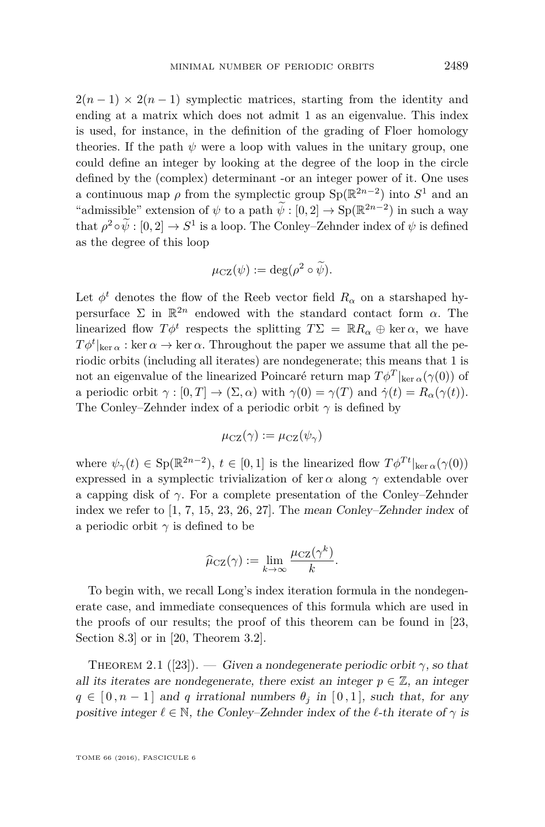$2(n-1) \times 2(n-1)$  symplectic matrices, starting from the identity and ending at a matrix which does not admit 1 as an eigenvalue. This index is used, for instance, in the definition of the grading of Floer homology theories. If the path  $\psi$  were a loop with values in the unitary group, one could define an integer by looking at the degree of the loop in the circle defined by the (complex) determinant -or an integer power of it. One uses a continuous map  $\rho$  from the symplectic group  $Sp(\mathbb{R}^{2n-2})$  into  $S^1$  and an "admissible" extension of  $\psi$  to a path  $\widetilde{\psi} : [0,2] \to \text{Sp}(\mathbb{R}^{2n-2})$  in such a way that  $\rho^2 \circ \psi : [0, 2] \to S^1$  is a loop. The Conley–Zehnder index of  $\psi$  is defined as the degree of this loop

$$
\mu_{\text{CZ}}(\psi) := \deg(\rho^2 \circ \widetilde{\psi}).
$$

Let  $\phi^t$  denotes the flow of the Reeb vector field  $R_\alpha$  on a starshaped hypersurface  $\Sigma$  in  $\mathbb{R}^{2n}$  endowed with the standard contact form  $\alpha$ . The linearized flow  $T\phi^t$  respects the splitting  $T\Sigma = \mathbb{R}R_\alpha \oplus \ker \alpha$ , we have  $T\phi^t|_{\ker \alpha}$ : ker  $\alpha \to \ker \alpha$ . Throughout the paper we assume that all the periodic orbits (including all iterates) are nondegenerate; this means that 1 is not an eigenvalue of the linearized Poincaré return map  $T\phi^T|_{\ker\alpha}(\gamma(0))$  of a periodic orbit  $\gamma : [0, T] \to (\Sigma, \alpha)$  with  $\gamma(0) = \gamma(T)$  and  $\dot{\gamma}(t) = R_\alpha(\gamma(t)).$ The Conley–Zehnder index of a periodic orbit *γ* is defined by

$$
\mu_{\text{CZ}}(\gamma) := \mu_{\text{CZ}}(\psi_{\gamma})
$$

where  $\psi_{\gamma}(t) \in \text{Sp}(\mathbb{R}^{2n-2})$ ,  $t \in [0,1]$  is the linearized flow  $T\phi^{Tt}|_{\text{ker }\alpha}(\gamma(0))$ expressed in a symplectic trivialization of ker  $\alpha$  along  $\gamma$  extendable over a capping disk of  $\gamma$ . For a complete presentation of the Conley–Zehnder index we refer to [\[1,](#page-20-12) [7,](#page-20-13) [15,](#page-20-14) [23,](#page-21-8) [26,](#page-21-9) [27\]](#page-21-10). The mean Conley–Zehnder index of a periodic orbit  $\gamma$  is defined to be

$$
\widehat{\mu}_{\text{CZ}}(\gamma) := \lim_{k \to \infty} \frac{\mu_{\text{CZ}}(\gamma^k)}{k}.
$$

To begin with, we recall Long's index iteration formula in the nondegenerate case, and immediate consequences of this formula which are used in the proofs of our results; the proof of this theorem can be found in [\[23,](#page-21-8) Section 8.3 or in [\[20,](#page-20-10) Theorem 3.2].

<span id="page-5-0"></span>THEOREM 2.1 ([\[23\]](#page-21-8)). — Given a nondegenerate periodic orbit  $\gamma$ , so that all its iterates are nondegenerate, there exist an integer  $p \in \mathbb{Z}$ , an integer  $q \in [0, n-1]$  and *q* irrational numbers  $\theta_i$  in [0,1], such that, for any positive integer  $\ell \in \mathbb{N}$ , the Conley–Zehnder index of the  $\ell$ -th iterate of  $\gamma$  is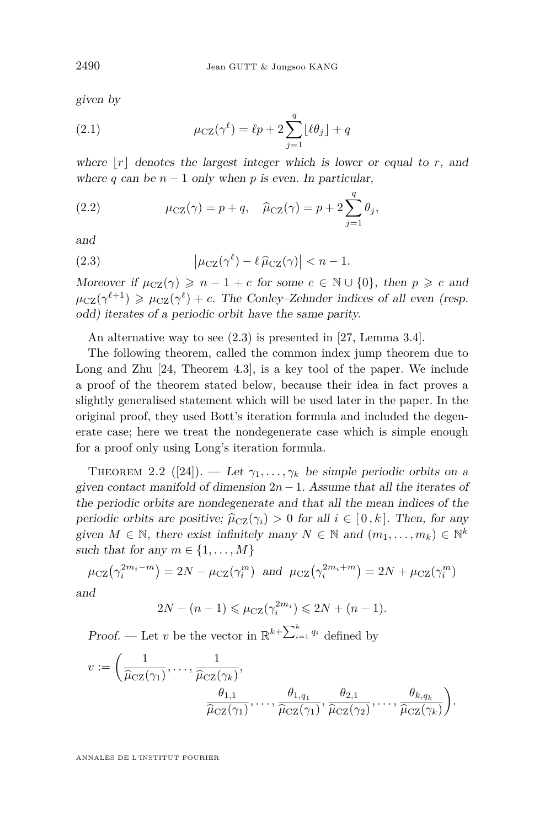given by

<span id="page-6-2"></span>(2.1) 
$$
\mu_{\text{CZ}}(\gamma^{\ell}) = \ell p + 2 \sum_{j=1}^{q} \lfloor \ell \theta_j \rfloor + q
$$

where  $|r|$  denotes the largest integer which is lower or equal to *r*, and where  $q$  can be  $n-1$  only when  $p$  is even. In particular,

<span id="page-6-1"></span>(2.2) 
$$
\mu_{\text{CZ}}(\gamma) = p + q, \quad \widehat{\mu}_{\text{CZ}}(\gamma) = p + 2 \sum_{j=1}^{q} \theta_j,
$$

and

<span id="page-6-0"></span>(2.3) 
$$
\left|\mu_{\text{CZ}}(\gamma^{\ell}) - \ell \,\widehat{\mu}_{\text{CZ}}(\gamma)\right| < n-1.
$$

Moreover if  $\mu_{CZ}(\gamma) \geq n-1+c$  for some  $c \in \mathbb{N} \cup \{0\}$ , then  $p \geq c$  and  $\mu_{\text{CZ}}(\gamma^{\ell+1}) \geq \mu_{\text{CZ}}(\gamma^{\ell}) + c$ . The Conley–Zehnder indices of all even (resp. odd) iterates of a periodic orbit have the same parity.

An alternative way to see [\(2.3\)](#page-6-0) is presented in [\[27,](#page-21-10) Lemma 3.4].

The following theorem, called the common index jump theorem due to Long and Zhu [\[24,](#page-21-0) Theorem 4.3], is a key tool of the paper. We include a proof of the theorem stated below, because their idea in fact proves a slightly generalised statement which will be used later in the paper. In the original proof, they used Bott's iteration formula and included the degenerate case; here we treat the nondegenerate case which is simple enough for a proof only using Long's iteration formula.

<span id="page-6-3"></span>THEOREM 2.2 ([\[24\]](#page-21-0)). — Let  $\gamma_1, \ldots, \gamma_k$  be simple periodic orbits on a given contact manifold of dimension 2*n*−1. Assume that all the iterates of the periodic orbits are nondegenerate and that all the mean indices of the periodic orbits are positive;  $\hat{\mu}_{CZ}(\gamma_i) > 0$  for all  $i \in [0, k]$ . Then, for any given  $M \in \mathbb{N}$ , there exist infinitely many  $N \in \mathbb{N}$  and  $(m_1, \ldots, m_k) \in \mathbb{N}^k$ such that for any  $m \in \{1, \ldots, M\}$ 

$$
\mu_{\text{CZ}}(\gamma_i^{2m_i - m}) = 2N - \mu_{\text{CZ}}(\gamma_i^m) \text{ and } \mu_{\text{CZ}}(\gamma_i^{2m_i + m}) = 2N + \mu_{\text{CZ}}(\gamma_i^m)
$$
  
and

 $\overline{a}$ 

$$
2N - (n-1) \le \mu_{\text{CZ}}(\gamma_i^{2m_i}) \le 2N + (n-1).
$$

*Proof.* — Let *v* be the vector in  $\mathbb{R}^{k+\sum_{i=1}^{k} q_i}$  defined by

$$
v := \left(\frac{1}{\widehat{\mu}_{\text{CZ}}(\gamma_1)}, \dots, \frac{1}{\widehat{\mu}_{\text{CZ}}(\gamma_k)}, \dots, \frac{\theta_{1,q_1}}{\widehat{\mu}_{\text{CZ}}(\gamma_1)}, \dots, \frac{\theta_{2,1}}{\widehat{\mu}_{\text{CZ}}(\gamma_1)}, \frac{\theta_{2,1}}{\widehat{\mu}_{\text{CZ}}(\gamma_2)}, \dots, \frac{\theta_{k,q_k}}{\widehat{\mu}_{\text{CZ}}(\gamma_k)}\right).
$$

ANNALES DE L'INSTITUT FOURIER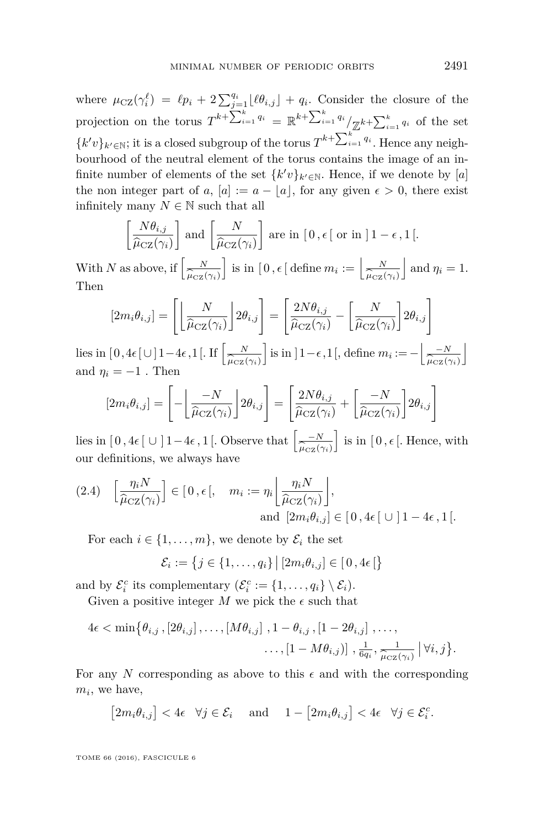where  $\mu_{\text{CZ}}(\gamma_i^{\ell}) = \ell p_i + 2\sum_{j=1}^{q_i} \lfloor \ell \theta_{i,j} \rfloor + q_i$ . Consider the closure of the projection on the torus  $T^{k+\sum_{i=1}^k q_i} = \mathbb{R}^{k+\sum_{i=1}^k q_i} / \mathbb{Z}^{k+\sum_{i=1}^k q_i}$  of the set  ${k'v}_{k' \in \mathbb{N}}$ ; it is a closed subgroup of the torus  $T^{k+\sum_{i=1}^{k} q_i}$ . Hence any neighbourhood of the neutral element of the torus contains the image of an infinite number of elements of the set  $\{k'v\}_{k' \in \mathbb{N}}$ . Hence, if we denote by [*a*] the non integer part of *a*,  $[a] := a - |a|$ , for any given  $\epsilon > 0$ , there exist infinitely many  $N \in \mathbb{N}$  such that all

$$
\left[\frac{N\theta_{i,j}}{\widehat{\mu}_{\text{CZ}}(\gamma_i)}\right] \text{ and } \left[\frac{N}{\widehat{\mu}_{\text{CZ}}(\gamma_i)}\right] \text{ are in } [0,\epsilon[ \text{ or in } ]1-\epsilon,1[.
$$

With *N* as above, if  $\left[\frac{N}{\sigma}\right]$  $\mu_{\text{CZ}}(\gamma_i)$ is in  $[0, \epsilon]$  define  $m_i := \frac{N}{\sqrt{N}}$  $\mu_{\text{CZ}}(\gamma_i)$ | and  $\eta_i = 1$ . Then

$$
[2m_i \theta_{i,j}] = \left[ \left( \frac{N}{\hat{\mu}_{\text{CZ}}(\gamma_i)} \right) 2\theta_{i,j} \right] = \left[ \frac{2N\theta_{i,j}}{\hat{\mu}_{\text{CZ}}(\gamma_i)} - \left( \frac{N}{\hat{\mu}_{\text{CZ}}(\gamma_i)} \right) 2\theta_{i,j} \right]
$$
  
lies in  $[0, 4\epsilon \lfloor \cup \rfloor 1 - 4\epsilon, 1[$ . If  $\left[ \frac{N}{\hat{\mu}_{\text{CZ}}(\gamma_i)} \right]$  is in  $] 1 - \epsilon, 1[$ , define  $m_i := -\left\lfloor \frac{-N}{\hat{\mu}_{\text{CZ}}(\gamma_i)} \right\rfloor$   
and  $\eta_i = -1$ . Then

$$
[2m_i \theta_{i,j}] = \left[ -\left\lfloor \frac{-N}{\widehat{\mu}_{\text{CZ}}(\gamma_i)} \right\rfloor 2\theta_{i,j} \right] = \left[ \frac{2N\theta_{i,j}}{\widehat{\mu}_{\text{CZ}}(\gamma_i)} + \left\lfloor \frac{-N}{\widehat{\mu}_{\text{CZ}}(\gamma_i)} \right\rfloor 2\theta_{i,j} \right]
$$

lies in  $[0, 4\epsilon] \cup [1-4\epsilon, 1]$ . Observe that  $\sqrt{\frac{-N}{\epsilon}}$  $\mu$ CZ $(\gamma_i)$ is in  $[0, \epsilon]$ . Hence, with our definitions, we always have

<span id="page-7-0"></span>
$$
(2.4) \quad \left[\frac{\eta_i N}{\hat{\mu}_{\text{CZ}}(\gamma_i)}\right] \in [0, \epsilon[, \quad m_i := \eta_i \left[\frac{\eta_i N}{\hat{\mu}_{\text{CZ}}(\gamma_i)}\right],
$$
\n
$$
\text{and } \left[2m_i \theta_{i,j}\right] \in [0, 4\epsilon[ \ \cup \ ] \ 1 - 4\epsilon, 1[.
$$

For each  $i \in \{1, \ldots, m\}$ , we denote by  $\mathcal{E}_i$  the set

$$
\mathcal{E}_i := \left\{ j \in \{1, \ldots, q_i\} \, \middle| \, [2m_i \theta_{i,j}] \in [0, 4\epsilon] \right\}
$$

and by  $\mathcal{E}_i^c$  its complementary  $(\mathcal{E}_i^c := \{1, \ldots, q_i\} \setminus \mathcal{E}_i)$ .

Given a positive integer M we pick the  $\epsilon$  such that

$$
4\epsilon < \min\left\{\theta_{i,j}, \left[2\theta_{i,j}\right], \ldots, \left[M\theta_{i,j}\right], 1-\theta_{i,j}, \left[1-2\theta_{i,j}\right], \ldots, \right.\\\left.\ldots, \left[1-M\theta_{i,j}\right]\right], \frac{1}{6q_i}, \frac{1}{\hat{\mu}_{\text{CZ}}(\gamma_i)} \Big|\,\forall i, j \right\}.
$$

For any N corresponding as above to this  $\epsilon$  and with the corresponding  $m_i$ , we have,

$$
\left[2m_i\theta_{i,j}\right] < 4\epsilon \quad \forall j \in \mathcal{E}_i \quad \text{ and } \quad 1 - \left[2m_i\theta_{i,j}\right] < 4\epsilon \quad \forall j \in \mathcal{E}_i^c.
$$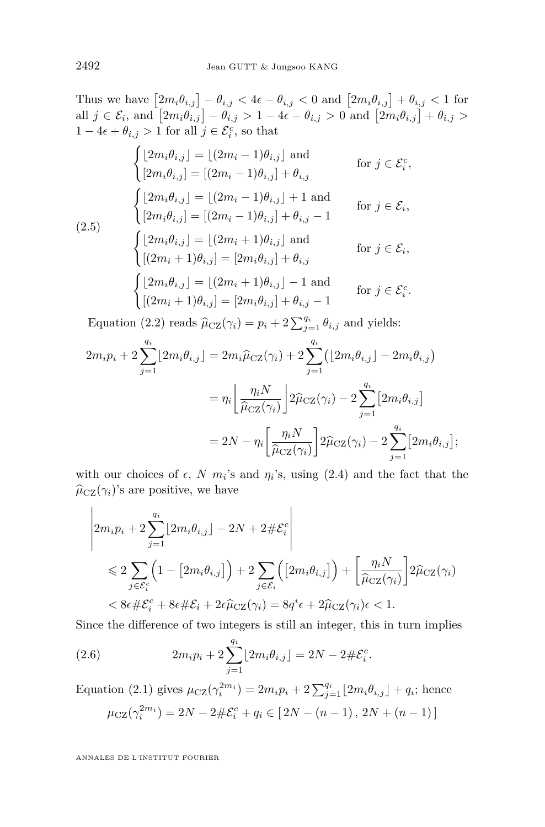Thus we have  $\left[2m_i\theta_{i,j}\right] - \theta_{i,j} < 4\epsilon - \theta_{i,j} < 0$  and  $\left[2m_i\theta_{i,j}\right] + \theta_{i,j} < 1$  for  $\text{all } j \in \mathcal{E}_i \text{, and } \left[ 2m_i \theta_{i,j} \right] - \theta_{i,j} > 1 - 4\epsilon - \theta_{i,j} > 0 \text{ and } \left[ 2m_i \theta_{i,j} \right] + \theta_{i,j} > 0$  $1 - 4\epsilon + \theta_{i,j} > 1$  for all  $j \in \mathcal{E}_i^c$ , so that

<span id="page-8-0"></span>
$$
\begin{cases}\n[2m_i\theta_{i,j}] = [(2m_i - 1)\theta_{i,j}] \text{ and } & \text{for } j \in \mathcal{E}_i^c, \\
[2m_i\theta_{i,j}] = [(2m_i - 1)\theta_{i,j}] + \theta_{i,j} & \text{for } j \in \mathcal{E}_i^c,\n\end{cases}
$$
\n
$$
\begin{cases}\n[2m_i\theta_{i,j}] = [(2m_i - 1)\theta_{i,j}] + 1 \text{ and } & \text{for } j \in \mathcal{E}_i, \\
[2m_i\theta_{i,j}] = [(2m_i - 1)\theta_{i,j}] + \theta_{i,j} - 1 & \text{for } j \in \mathcal{E}_i,\n\end{cases}
$$
\n
$$
\begin{cases}\n[2m_i\theta_{i,j}] = [(2m_i + 1)\theta_{i,j}] \text{ and } & \text{for } j \in \mathcal{E}_i, \\
[2m_i\theta_{i,j}] = [(2m_i + 1)\theta_{i,j}] - 1 \text{ and } & \text{for } j \in \mathcal{E}_i^c.\n\end{cases}
$$
\n
$$
\begin{cases}\n[2m_i\theta_{i,j}] = [(2m_i + 1)\theta_{i,j}] - 1 \text{ and } & \text{for } j \in \mathcal{E}_i^c.\n\end{cases}
$$

Equation [\(2.2\)](#page-6-1) reads  $\hat{\mu}_{CZ}(\gamma_i) = p_i + 2\sum_{j=1}^{q_i} \theta_{i,j}$  and yields:

$$
2m_i p_i + 2 \sum_{j=1}^{q_i} \lfloor 2m_i \theta_{i,j} \rfloor = 2m_i \widehat{\mu}_{CZ}(\gamma_i) + 2 \sum_{j=1}^{q_i} \left( \lfloor 2m_i \theta_{i,j} \rfloor - 2m_i \theta_{i,j} \right)
$$

$$
= \eta_i \left\lfloor \frac{\eta_i N}{\widehat{\mu}_{CZ}(\gamma_i)} \right\rfloor 2\widehat{\mu}_{CZ}(\gamma_i) - 2 \sum_{j=1}^{q_i} \lfloor 2m_i \theta_{i,j} \rfloor
$$

$$
= 2N - \eta_i \left[ \frac{\eta_i N}{\widehat{\mu}_{CZ}(\gamma_i)} \right] 2\widehat{\mu}_{CZ}(\gamma_i) - 2 \sum_{j=1}^{q_i} \lfloor 2m_i \theta_{i,j} \rfloor;
$$

with our choices of  $\epsilon$ , *N m<sub>i</sub>*'s and  $\eta$ <sub>*i*</sub>'s, using [\(2.4\)](#page-7-0) and the fact that the  $\hat{\mu}_{CZ}(\gamma_i)$ 's are positive, we have

$$
\left| 2m_i p_i + 2 \sum_{j=1}^{q_i} \lfloor 2m_i \theta_{i,j} \rfloor - 2N + 2 \# \mathcal{E}_i^c \right|
$$
  
\n
$$
\leq 2 \sum_{j \in \mathcal{E}_i^c} \left( 1 - \left[ 2m_i \theta_{i,j} \right] \right) + 2 \sum_{j \in \mathcal{E}_i} \left( \left[ 2m_i \theta_{i,j} \right] \right) + \left[ \frac{\eta_i N}{\hat{\mu}_{\text{CZ}}(\gamma_i)} \right] 2\hat{\mu}_{\text{CZ}}(\gamma_i)
$$
  
\n
$$
< 8\epsilon \# \mathcal{E}_i^c + 8\epsilon \# \mathcal{E}_i + 2\epsilon \hat{\mu}_{\text{CZ}}(\gamma_i) = 8q^i \epsilon + 2\hat{\mu}_{\text{CZ}}(\gamma_i)\epsilon < 1.
$$

Since the difference of two integers is still an integer, this in turn implies

<span id="page-8-1"></span>(2.6) 
$$
2m_i p_i + 2 \sum_{j=1}^{q_i} \lfloor 2m_i \theta_{i,j} \rfloor = 2N - 2 \# \mathcal{E}_i^c.
$$

Equation [\(2.1\)](#page-6-2) gives  $\mu_{\text{CZ}}(\gamma_i^{2m_i}) = 2m_i p_i + 2 \sum_{j=1}^{q_i} \lfloor 2m_i \theta_{i,j} \rfloor + q_i$ ; hence  $\mu_{\text{CZ}}(\gamma_i^{2m_i}) = 2N - 2\#\mathcal{E}_i^c + q_i \in [2N - (n-1), 2N + (n-1)]$ 

ANNALES DE L'INSTITUT FOURIER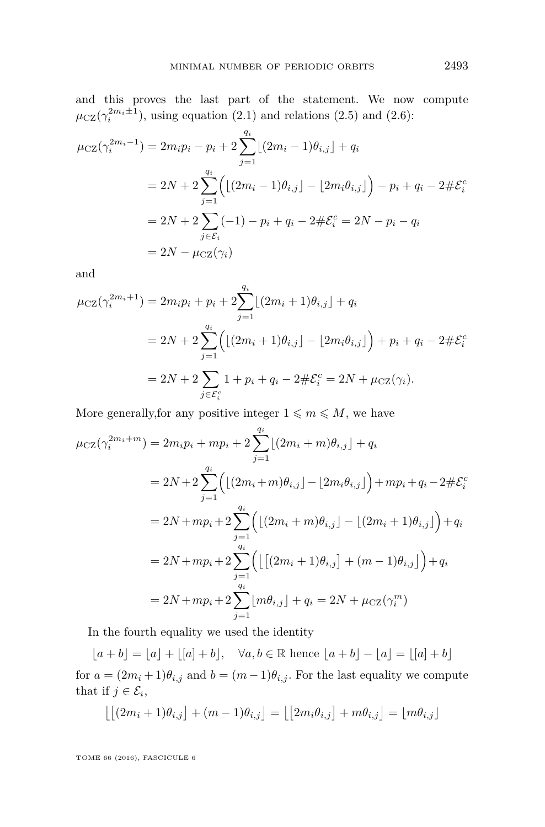and this proves the last part of the statement. We now compute  $\mu_{\text{CZ}}(\gamma_i^{2m_i\pm 1})$ , using equation [\(2.1\)](#page-6-2) and relations [\(2.5\)](#page-8-0) and [\(2.6\)](#page-8-1):

$$
\mu_{\text{CZ}}(\gamma_i^{2m_i-1}) = 2m_i p_i - p_i + 2 \sum_{j=1}^{q_i} \lfloor (2m_i - 1)\theta_{i,j} \rfloor + q_i
$$
  
= 2N + 2 \sum\_{j=1}^{q\_i} \left( \lfloor (2m\_i - 1)\theta\_{i,j} \rfloor - \lfloor 2m\_i \theta\_{i,j} \rfloor \right) - p\_i + q\_i - 2 \# \mathcal{E}\_i^c  
= 2N + 2 \sum\_{j \in \mathcal{E}\_i} (-1) - p\_i + q\_i - 2 \# \mathcal{E}\_i^c = 2N - p\_i - q\_i  
= 2N - \mu\_{\text{CZ}}(\gamma\_i)

and

$$
\mu_{\text{CZ}}(\gamma_i^{2m_i+1}) = 2m_i p_i + p_i + 2 \sum_{j=1}^{q_i} \lfloor (2m_i + 1)\theta_{i,j} \rfloor + q_i
$$
  
=  $2N + 2 \sum_{j=1}^{q_i} \left( \lfloor (2m_i + 1)\theta_{i,j} \rfloor - \lfloor 2m_i \theta_{i,j} \rfloor \right) + p_i + q_i - 2 \# \mathcal{E}_i^c$   
=  $2N + 2 \sum_{j \in \mathcal{E}_i^c} 1 + p_i + q_i - 2 \# \mathcal{E}_i^c = 2N + \mu_{\text{CZ}}(\gamma_i).$ 

More generally, for any positive integer  $1 \leq m \leq M$ , we have

$$
\mu_{\text{CZ}}(\gamma_i^{2m_i+m}) = 2m_i p_i + m p_i + 2 \sum_{j=1}^{q_i} \lfloor (2m_i + m)\theta_{i,j} \rfloor + q_i
$$
  
\n
$$
= 2N + 2 \sum_{j=1}^{q_i} \Big( \lfloor (2m_i + m)\theta_{i,j} \rfloor - \lfloor 2m_i \theta_{i,j} \rfloor \Big) + mp_i + q_i - 2 \# \mathcal{E}_i^c
$$
  
\n
$$
= 2N + mp_i + 2 \sum_{j=1}^{q_i} \Big( \lfloor (2m_i + m)\theta_{i,j} \rfloor - \lfloor (2m_i + 1)\theta_{i,j} \rfloor \Big) + q_i
$$
  
\n
$$
= 2N + mp_i + 2 \sum_{j=1}^{q_i} \Big( \lfloor (2m_i + 1)\theta_{i,j} \rfloor + (m - 1)\theta_{i,j} \rfloor \Big) + q_i
$$
  
\n
$$
= 2N + mp_i + 2 \sum_{j=1}^{q_i} \lfloor m\theta_{i,j} \rfloor + q_i = 2N + \mu_{\text{CZ}}(\gamma_i^m)
$$

In the fourth equality we used the identity

 $[a + b] = [a] + [a] + b$ ,  $\forall a, b \in \mathbb{R}$  hence  $[a + b] - [a] = [(a] + b]$ for  $a = (2m_i + 1)\theta_{i,j}$  and  $b = (m-1)\theta_{i,j}$ . For the last equality we compute that if  $j \in \mathcal{E}_i$ ,

$$
\left\lfloor \left[ (2m_i+1)\theta_{i,j} \right] + (m-1)\theta_{i,j} \right\rfloor = \left\lfloor \left[ 2m_i\theta_{i,j} \right] + m\theta_{i,j} \right\rfloor = \left\lfloor m\theta_{i,j} \right\rfloor
$$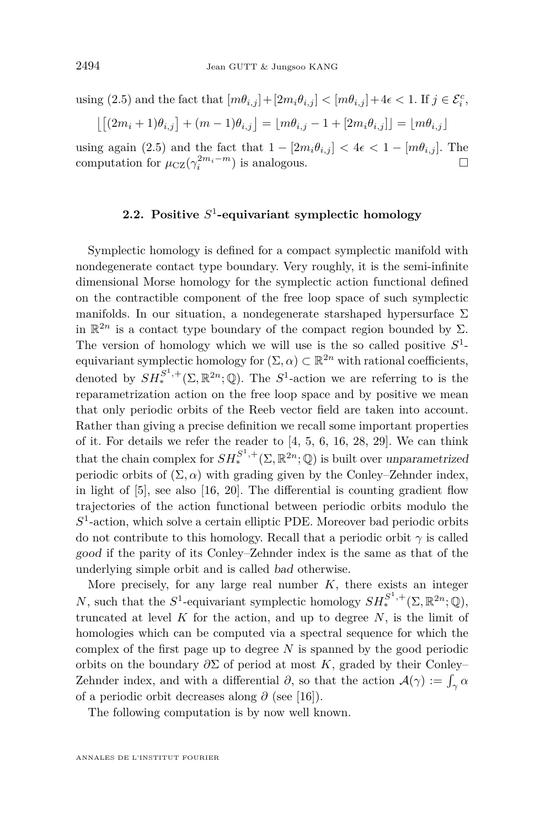using [\(2.5\)](#page-8-0) and the fact that  $[m\theta_{i,j}] + [2m_i \theta_{i,j}] < [m\theta_{i,j}] + 4\epsilon < 1$ . If  $j \in \mathcal{E}_i^c$ ,

$$
\left\lfloor \left[ (2m_i+1)\theta_{i,j} \right] + (m-1)\theta_{i,j} \right\rfloor = \left\lfloor m\theta_{i,j} - 1 + \left[ 2m_i\theta_{i,j} \right] \right\rfloor = \left\lfloor m\theta_{i,j} \right\rfloor
$$

using again [\(2.5\)](#page-8-0) and the fact that  $1 - [2m_i\theta_{i,j}] < 4\epsilon < 1 - [m\theta_{i,j}]$ . The computation for  $\mu_{\text{CZ}}(\gamma_i^{2m_i-m})$  is analogous.

#### **2.2. Positive** *S* 1 **-equivariant symplectic homology**

<span id="page-10-0"></span>Symplectic homology is defined for a compact symplectic manifold with nondegenerate contact type boundary. Very roughly, it is the semi-infinite dimensional Morse homology for the symplectic action functional defined on the contractible component of the free loop space of such symplectic manifolds. In our situation, a nondegenerate starshaped hypersurface  $\Sigma$ in  $\mathbb{R}^{2n}$  is a contact type boundary of the compact region bounded by  $\Sigma$ . The version of homology which we will use is the so called positive *S* 1 equivariant symplectic homology for  $(\Sigma, \alpha) \subset \mathbb{R}^{2n}$  with rational coefficients, denoted by  $SH_*^{S^1,+}(\Sigma,\mathbb{R}^{2n};\mathbb{Q})$ . The  $S^1$ -action we are referring to is the reparametrization action on the free loop space and by positive we mean that only periodic orbits of the Reeb vector field are taken into account. Rather than giving a precise definition we recall some important properties of it. For details we refer the reader to [\[4,](#page-20-15) [5,](#page-20-16) [6,](#page-20-17) [16,](#page-20-18) [28,](#page-21-11) [29\]](#page-21-12). We can think that the chain complex for  $SH_*^{S^1,+}(\Sigma, \mathbb{R}^{2n}; \mathbb{Q})$  is built over unparametrized periodic orbits of  $(\Sigma, \alpha)$  with grading given by the Conley–Zehnder index, in light of [\[5\]](#page-20-16), see also [\[16,](#page-20-18) [20\]](#page-20-10). The differential is counting gradient flow trajectories of the action functional between periodic orbits modulo the *S* 1 -action, which solve a certain elliptic PDE. Moreover bad periodic orbits do not contribute to this homology. Recall that a periodic orbit *γ* is called good if the parity of its Conley–Zehnder index is the same as that of the underlying simple orbit and is called bad otherwise.

More precisely, for any large real number  $K$ , there exists an integer *N*, such that the  $S^1$ -equivariant symplectic homology  $SH^{S^1,+}_{*}(\Sigma, \mathbb{R}^{2n}; \mathbb{Q}),$ truncated at level  $K$  for the action, and up to degree  $N$ , is the limit of homologies which can be computed via a spectral sequence for which the complex of the first page up to degree *N* is spanned by the good periodic orbits on the boundary *∂*Σ of period at most *K*, graded by their Conley– Zehnder index, and with a differential  $\partial$ , so that the action  $\mathcal{A}(\gamma) := \int_{\gamma} \alpha$ of a periodic orbit decreases along  $\partial$  (see [\[16\]](#page-20-18)).

The following computation is by now well known.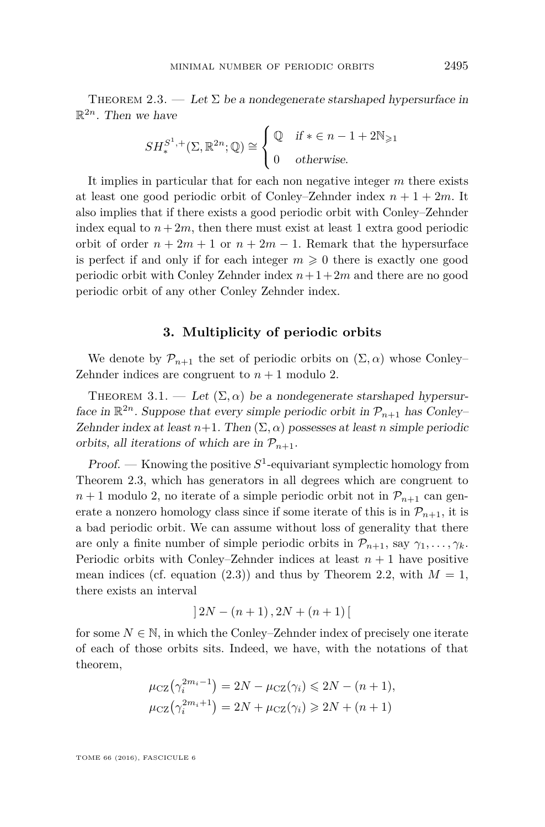<span id="page-11-2"></span>THEOREM 2.3. — Let  $\Sigma$  be a nondegenerate starshaped hypersurface in  $\mathbb{R}^{2n}$ . Then we have

$$
SH_*^{S^1,+}(\Sigma, \mathbb{R}^{2n}; \mathbb{Q}) \cong \begin{cases} \mathbb{Q} & \text{if } * \in n - 1 + 2\mathbb{N}_{\geqslant 1} \\ 0 & \text{otherwise.} \end{cases}
$$

It implies in particular that for each non negative integer *m* there exists at least one good periodic orbit of Conley–Zehnder index  $n + 1 + 2m$ . It also implies that if there exists a good periodic orbit with Conley–Zehnder index equal to  $n+2m$ , then there must exist at least 1 extra good periodic orbit of order  $n + 2m + 1$  or  $n + 2m - 1$ . Remark that the hypersurface is perfect if and only if for each integer  $m \geq 0$  there is exactly one good periodic orbit with Conley Zehnder index *n*+ 1+ 2*m* and there are no good periodic orbit of any other Conley Zehnder index.

#### **3. Multiplicity of periodic orbits**

<span id="page-11-0"></span>We denote by  $\mathcal{P}_{n+1}$  the set of periodic orbits on  $(\Sigma, \alpha)$  whose Conley– Zehnder indices are congruent to  $n+1$  modulo 2.

<span id="page-11-1"></span>THEOREM 3.1. — Let  $(\Sigma, \alpha)$  be a nondegenerate starshaped hypersurface in  $\mathbb{R}^{2n}$ . Suppose that every simple periodic orbit in  $\mathcal{P}_{n+1}$  has Conley-Zehnder index at least  $n+1$ . Then  $(\Sigma, \alpha)$  possesses at least *n* simple periodic orbits, all iterations of which are in  $\mathcal{P}_{n+1}$ .

Proof.  $-$  Knowing the positive  $S^1$ -equivariant symplectic homology from Theorem [2.3,](#page-11-2) which has generators in all degrees which are congruent to  $n+1$  modulo 2, no iterate of a simple periodic orbit not in  $\mathcal{P}_{n+1}$  can generate a nonzero homology class since if some iterate of this is in  $\mathcal{P}_{n+1}$ , it is a bad periodic orbit. We can assume without loss of generality that there are only a finite number of simple periodic orbits in  $\mathcal{P}_{n+1}$ , say  $\gamma_1, \ldots, \gamma_k$ . Periodic orbits with Conley–Zehnder indices at least  $n + 1$  have positive mean indices (cf. equation [\(2.3\)](#page-6-0)) and thus by Theorem [2.2,](#page-6-3) with  $M = 1$ , there exists an interval

$$
[2N - (n+1), 2N + (n+1)]
$$

for some  $N \in \mathbb{N}$ , in which the Conley–Zehnder index of precisely one iterate of each of those orbits sits. Indeed, we have, with the notations of that theorem,

$$
\mu_{\text{CZ}}(\gamma_i^{2m_i-1}) = 2N - \mu_{\text{CZ}}(\gamma_i) \le 2N - (n+1),
$$
  

$$
\mu_{\text{CZ}}(\gamma_i^{2m_i+1}) = 2N + \mu_{\text{CZ}}(\gamma_i) \ge 2N + (n+1)
$$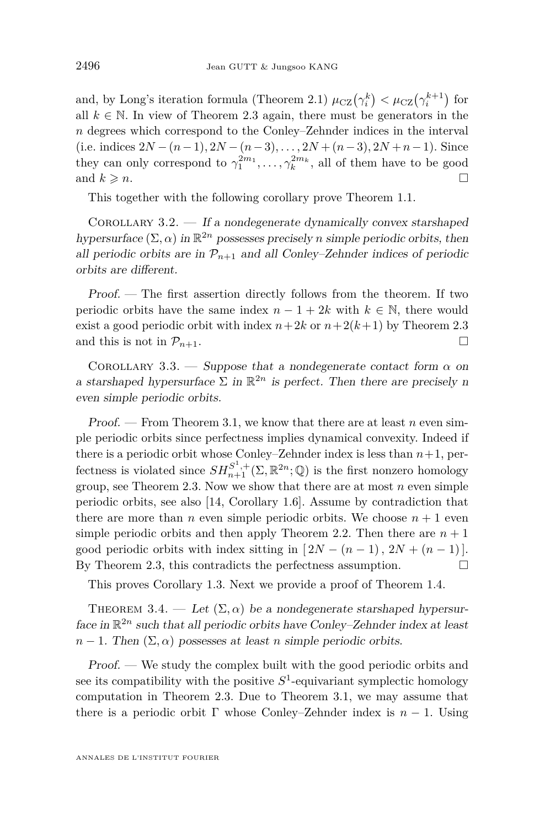and, by Long's iteration formula (Theorem [2.1\)](#page-5-0)  $\mu_{\text{CZ}}(\gamma_i^k) < \mu_{\text{CZ}}(\gamma_i^{k+1})$  for all  $k \in \mathbb{N}$ . In view of Theorem [2.3](#page-11-2) again, there must be generators in the *n* degrees which correspond to the Conley–Zehnder indices in the interval (i.e. indices  $2N - (n-1)$ *,*  $2N - (n-3)$ *, . . . ,*  $2N + (n-3)$ *,*  $2N + n - 1$ *)*. Since they can only correspond to  $\gamma_1^{2m_1}, \ldots, \gamma_k^{2m_k}$ , all of them have to be good and  $k \geq n$ .

This together with the following corollary prove Theorem [1.1.](#page-2-0)

COROLLARY  $3.2.$  — If a nondegenerate dynamically convex starshaped hypersurface  $(\Sigma, \alpha)$  in  $\mathbb{R}^{2n}$  possesses precisely *n* simple periodic orbits, then all periodic orbits are in  $\mathcal{P}_{n+1}$  and all Conley–Zehnder indices of periodic orbits are different.

Proof. — The first assertion directly follows from the theorem. If two periodic orbits have the same index  $n-1+2k$  with  $k \in \mathbb{N}$ , there would exist a good periodic orbit with index  $n+2k$  or  $n+2(k+1)$  by Theorem [2.3](#page-11-2) and this is not in  $\mathcal{P}_{n+1}$ .

<span id="page-12-0"></span>COROLLARY 3.3. — Suppose that a nondegenerate contact form  $\alpha$  on a starshaped hypersurface  $\Sigma$  in  $\mathbb{R}^{2n}$  is perfect. Then there are precisely n even simple periodic orbits.

Proof. — From Theorem [3.1,](#page-11-1) we know that there are at least *n* even simple periodic orbits since perfectness implies dynamical convexity. Indeed if there is a periodic orbit whose Conley–Zehnder index is less than  $n+1$ , perfectness is violated since  $SH_{n+1}^{S^1,+}(\Sigma, \mathbb{R}^{2n}; \mathbb{Q})$  is the first nonzero homology group, see Theorem [2.3.](#page-11-2) Now we show that there are at most *n* even simple periodic orbits, see also [\[14,](#page-20-9) Corollary 1.6]. Assume by contradiction that there are more than *n* even simple periodic orbits. We choose  $n + 1$  even simple periodic orbits and then apply Theorem [2.2.](#page-6-3) Then there are  $n + 1$ good periodic orbits with index sitting in  $[2N - (n-1), 2N + (n-1)].$ By Theorem [2.3,](#page-11-2) this contradicts the perfectness assumption.  $\Box$ 

This proves Corollary [1.3.](#page-3-1) Next we provide a proof of Theorem [1.4.](#page-3-0)

<span id="page-12-1"></span>THEOREM 3.4. — Let  $(\Sigma, \alpha)$  be a nondegenerate starshaped hypersurface in  $\mathbb{R}^{2n}$  such that all periodic orbits have Conley–Zehnder index at least  $n-1$ . Then  $(\Sigma, \alpha)$  possesses at least *n* simple periodic orbits.

Proof. — We study the complex built with the good periodic orbits and see its compatibility with the positive  $S^1$ -equivariant symplectic homology computation in Theorem [2.3.](#page-11-2) Due to Theorem [3.1,](#page-11-1) we may assume that there is a periodic orbit  $\Gamma$  whose Conley–Zehnder index is  $n-1$ . Using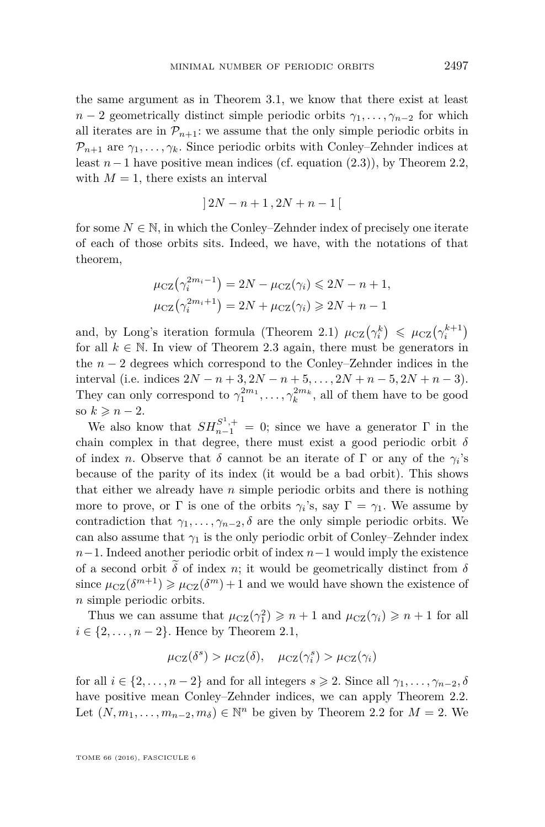the same argument as in Theorem [3.1,](#page-11-1) we know that there exist at least *n* − 2 geometrically distinct simple periodic orbits  $\gamma_1, \ldots, \gamma_{n-2}$  for which all iterates are in  $\mathcal{P}_{n+1}$ : we assume that the only simple periodic orbits in  $\mathcal{P}_{n+1}$  are  $\gamma_1, \ldots, \gamma_k$ . Since periodic orbits with Conley–Zehnder indices at least  $n-1$  have positive mean indices (cf. equation [\(2.3\)](#page-6-0)), by Theorem [2.2,](#page-6-3) with  $M = 1$ , there exists an interval

$$
[2N - n + 1, 2N + n - 1[
$$

for some  $N \in \mathbb{N}$ , in which the Conley–Zehnder index of precisely one iterate of each of those orbits sits. Indeed, we have, with the notations of that theorem,

$$
\mu_{\text{CZ}}(\gamma_i^{2m_i-1}) = 2N - \mu_{\text{CZ}}(\gamma_i) \le 2N - n + 1,
$$
  

$$
\mu_{\text{CZ}}(\gamma_i^{2m_i+1}) = 2N + \mu_{\text{CZ}}(\gamma_i) \ge 2N + n - 1
$$

and, by Long's iteration formula (Theorem [2.1\)](#page-5-0)  $\mu_{\text{CZ}}(\gamma_i^k) \leq \mu_{\text{CZ}}(\gamma_i^{k+1})$ for all  $k \in \mathbb{N}$ . In view of Theorem [2.3](#page-11-2) again, there must be generators in the *n* − 2 degrees which correspond to the Conley–Zehnder indices in the interval (i.e. indices 2*N* − *n* + 3*,* 2*N* − *n* + 5*, . . . ,* 2*N* + *n* − 5*,* 2*N* + *n* − 3). They can only correspond to  $\gamma_1^{2m_1}, \ldots, \gamma_k^{2m_k}$ , all of them have to be good so  $k \geqslant n-2$ .

We also know that  $SH_{n-1}^{S^1,+} = 0$ ; since we have a generator  $\Gamma$  in the chain complex in that degree, there must exist a good periodic orbit *δ* of index *n*. Observe that  $\delta$  cannot be an iterate of  $\Gamma$  or any of the  $\gamma_i$ 's because of the parity of its index (it would be a bad orbit). This shows that either we already have *n* simple periodic orbits and there is nothing more to prove, or  $\Gamma$  is one of the orbits  $\gamma_i$ 's, say  $\Gamma = \gamma_1$ . We assume by contradiction that  $\gamma_1, \ldots, \gamma_{n-2}, \delta$  are the only simple periodic orbits. We can also assume that  $\gamma_1$  is the only periodic orbit of Conley–Zehnder index *n*−1. Indeed another periodic orbit of index *n*−1 would imply the existence of a second orbit  $\delta$  of index *n*; it would be geometrically distinct from  $\delta$ since  $\mu_{\text{CZ}}(\delta^{m+1}) \ge \mu_{\text{CZ}}(\delta^m) + 1$  and we would have shown the existence of *n* simple periodic orbits.

Thus we can assume that  $\mu_{\text{CZ}}(\gamma_1^2) \geq n+1$  and  $\mu_{\text{CZ}}(\gamma_i) \geq n+1$  for all  $i \in \{2, \ldots, n-2\}$ . Hence by Theorem [2.1,](#page-5-0)

$$
\mu_{\text{CZ}}(\delta^s) > \mu_{\text{CZ}}(\delta), \quad \mu_{\text{CZ}}(\gamma_i^s) > \mu_{\text{CZ}}(\gamma_i)
$$

for all  $i \in \{2, \ldots, n-2\}$  and for all integers  $s \geq 2$ . Since all  $\gamma_1, \ldots, \gamma_{n-2}, \delta$ have positive mean Conley–Zehnder indices, we can apply Theorem [2.2.](#page-6-3) Let  $(N, m_1, \ldots, m_{n-2}, m_\delta) \in \mathbb{N}^n$  be given by Theorem [2.2](#page-6-3) for  $M = 2$ . We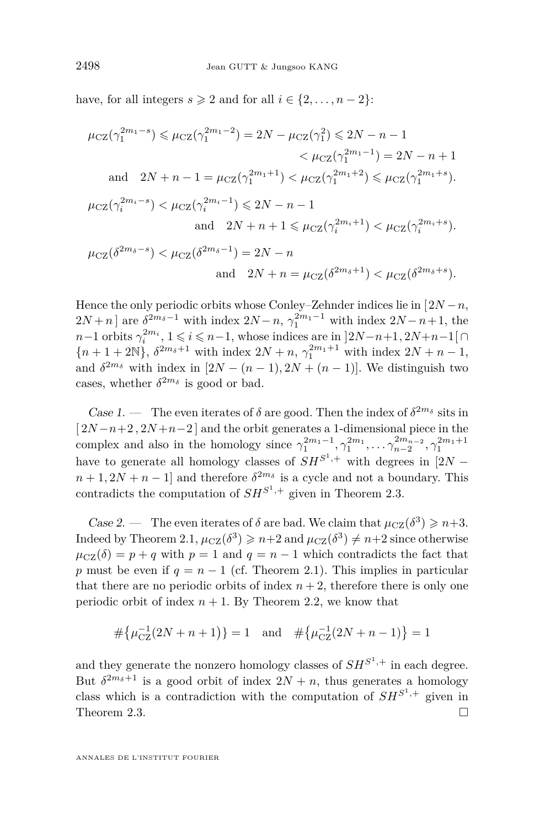have, for all integers  $s \geq 2$  and for all  $i \in \{2, \ldots, n-2\}$ :

$$
\mu_{\text{CZ}}(\gamma_1^{2m_1-s}) \leq \mu_{\text{CZ}}(\gamma_1^{2m_1-2}) = 2N - \mu_{\text{CZ}}(\gamma_1^2) \leq 2N - n - 1
$$
  

$$
< \mu_{\text{CZ}}(\gamma_1^{2m_1-1}) = 2N - n + 1
$$
  
and 
$$
2N + n - 1 = \mu_{\text{CZ}}(\gamma_1^{2m_1+1}) < \mu_{\text{CZ}}(\gamma_1^{2m_1+2}) \leq \mu_{\text{CZ}}(\gamma_1^{2m_1+s}).
$$
  

$$
\mu_{\text{CZ}}(\gamma_i^{2m_i-s}) < \mu_{\text{CZ}}(\gamma_i^{2m_i-1}) \leq 2N - n - 1
$$
  
and 
$$
2N + n + 1 \leq \mu_{\text{CZ}}(\gamma_i^{2m_i+1}) < \mu_{\text{CZ}}(\gamma_i^{2m_i+s}).
$$
  

$$
\mu_{\text{CZ}}(\delta^{2m_{\delta}-s}) < \mu_{\text{CZ}}(\delta^{2m_{\delta}-1}) = 2N - n
$$

and 
$$
2N + n = \mu_{\text{CZ}}(\delta^{2m_{\delta}+1}) < \mu_{\text{CZ}}(\delta^{2m_{\delta}+s}).
$$

Hence the only periodic orbits whose Conley–Zehnder indices lie in  $[2N - n$ ,  $2N + n$  ] are  $\delta^{2m_{\delta}-1}$  with index  $2N - n$ ,  $\gamma_1^{2m_1-1}$  with index  $2N - n + 1$ , the *n*−1 orbits  $\gamma_i^{2m_i}$ ,  $1 \leq i \leq n-1$ , whose indices are in  $]2N-n+1, 2N+n-1$ [∩  ${n + 1 + 2N}$ ,  $\delta^{2m_{\delta}+1}$  with index  $2N + n$ ,  $\gamma_1^{2m_1+1}$  with index  $2N + n - 1$ , and  $\delta^{2m_{\delta}}$  with index in  $[2N - (n-1), 2N + (n-1)]$ . We distinguish two cases, whether  $\delta^{2m_{\delta}}$  is good or bad.

Case 1. — The even iterates of  $\delta$  are good. Then the index of  $\delta^{2m_{\delta}}$  sits in [ 2*N* −*n*+2 *,* 2*N* +*n*−2 ] and the orbit generates a 1-dimensional piece in the complex and also in the homology since  $\gamma_1^{2m_1-1}, \gamma_1^{2m_1}, \dots, \gamma_{n-2}^{2m_{n-2}}, \gamma_1^{2m_1+1}$ have to generate all homology classes of  $SH^{S^1,+}$  with degrees in  $[2N$  $n+1, 2N+n-1$  and therefore  $\delta^{2m_{\delta}}$  is a cycle and not a boundary. This contradicts the computation of  $SH^{S^1,+}$  given in Theorem [2.3.](#page-11-2)

Case 2. — The even iterates of  $\delta$  are bad. We claim that  $\mu_{\text{CZ}}(\delta^3) \geq n+3$ . Indeed by Theorem [2.1,](#page-5-0)  $\mu_{\text{CZ}}(\delta^3) \geq n+2$  and  $\mu_{\text{CZ}}(\delta^3) \neq n+2$  since otherwise  $\mu_{\text{CZ}}(\delta) = p + q$  with  $p = 1$  and  $q = n - 1$  which contradicts the fact that *p* must be even if  $q = n - 1$  (cf. Theorem [2.1\)](#page-4-0). This implies in particular that there are no periodic orbits of index  $n + 2$ , therefore there is only one periodic orbit of index  $n + 1$ . By Theorem [2.2,](#page-6-3) we know that

$$
\#\{\mu_{\text{CZ}}^{-1}(2N+n+1)\}=1 \quad \text{and} \quad \#\{\mu_{\text{CZ}}^{-1}(2N+n-1)\}=1
$$

and they generate the nonzero homology classes of  $SH^{S^1,+}$  in each degree. But  $\delta^{2m_{\delta}+1}$  is a good orbit of index  $2N + n$ , thus generates a homology class which is a contradiction with the computation of  $SH^{S^1,+}$  given in Theorem [2.3.](#page-11-2)  $\Box$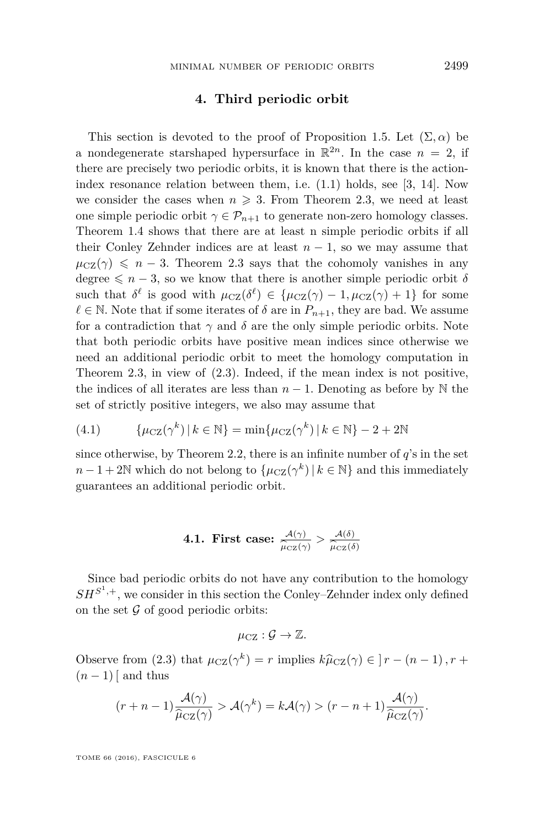#### **4. Third periodic orbit**

<span id="page-15-0"></span>This section is devoted to the proof of Proposition [1.5.](#page-4-1) Let  $(\Sigma, \alpha)$  be a nondegenerate starshaped hypersurface in  $\mathbb{R}^{2n}$ . In the case  $n = 2$ , if there are precisely two periodic orbits, it is known that there is the actionindex resonance relation between them, i.e. [\(1.1\)](#page-4-2) holds, see [\[3,](#page-20-19) [14\]](#page-20-9). Now we consider the cases when  $n \geq 3$ . From Theorem [2.3,](#page-11-2) we need at least one simple periodic orbit  $\gamma \in \mathcal{P}_{n+1}$  to generate non-zero homology classes. Theorem [1.4](#page-3-0) shows that there are at least n simple periodic orbits if all their Conley Zehnder indices are at least  $n-1$ , so we may assume that  $\mu_{CZ}(\gamma) \leq n-3$ . Theorem [2.3](#page-11-2) says that the cohomoly vanishes in any degree  $\leq n-3$ , so we know that there is another simple periodic orbit  $\delta$ such that  $\delta^{\ell}$  is good with  $\mu_{\text{CZ}}(\delta^{\ell}) \in {\mu_{\text{CZ}}(\gamma) - 1, \mu_{\text{CZ}}(\gamma) + 1}$  for some  $\ell \in \mathbb{N}$ . Note that if some iterates of *δ* are in  $P_{n+1}$ , they are bad. We assume for a contradiction that  $\gamma$  and  $\delta$  are the only simple periodic orbits. Note that both periodic orbits have positive mean indices since otherwise we need an additional periodic orbit to meet the homology computation in Theorem [2.3,](#page-11-2) in view of [\(2.3\)](#page-6-0). Indeed, if the mean index is not positive, the indices of all iterates are less than  $n-1$ . Denoting as before by N the set of strictly positive integers, we also may assume that

(4.1) 
$$
\{\mu_{\text{CZ}}(\gamma^k) \, | \, k \in \mathbb{N}\} = \min\{\mu_{\text{CZ}}(\gamma^k) \, | \, k \in \mathbb{N}\} - 2 + 2\mathbb{N}
$$

since otherwise, by Theorem [2.2,](#page-6-3) there is an infinite number of *q*'s in the set  $n-1+2\mathbb{N}$  which do not belong to  $\{\mu_{\text{CZ}}(\gamma^k) \mid k \in \mathbb{N}\}\$  and this immediately guarantees an additional periodic orbit.

**4.1. First case:** 
$$
\frac{\mathcal{A}(\gamma)}{\hat{\mu}_{CZ}(\gamma)} > \frac{\mathcal{A}(\delta)}{\hat{\mu}_{CZ}(\delta)}
$$

Since bad periodic orbits do not have any contribution to the homology  $SH^{S^1,+}$ , we consider in this section the Conley–Zehnder index only defined on the set  $\mathcal G$  of good periodic orbits:

$$
\mu_{\text{CZ}}:\mathcal{G}\to\mathbb{Z}.
$$

Observe from [\(2.3\)](#page-6-0) that  $\mu_{\text{CZ}}(\gamma^k) = r$  implies  $k\hat{\mu}_{\text{CZ}}(\gamma) \in \left] r - (n-1), r + (n-1) \right]$  $(n-1)$  [ and thus

$$
(r+n-1)\frac{\mathcal{A}(\gamma)}{\widehat{\mu}_{\text{CZ}}(\gamma)} > \mathcal{A}(\gamma^k) = k\mathcal{A}(\gamma) > (r-n+1)\frac{\mathcal{A}(\gamma)}{\widehat{\mu}_{\text{CZ}}(\gamma)}.
$$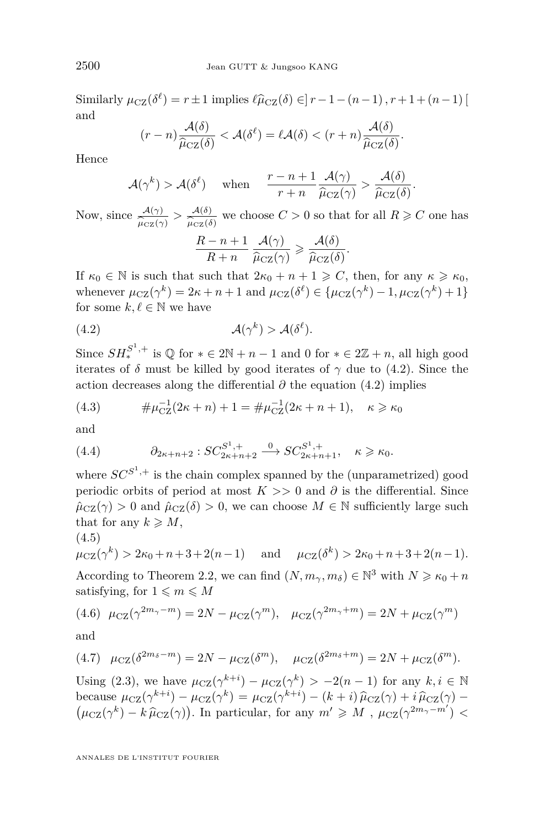Similarly  $\mu_{\text{CZ}}(\delta^{\ell}) = r \pm 1$  implies  $\ell \widehat{\mu}_{\text{CZ}}(\delta) \in ]r - 1 - (n - 1), r + 1 + (n - 1)[$ and

$$
(r-n)\frac{\mathcal{A}(\delta)}{\widehat{\mu}_{\text{CZ}}(\delta)} < \mathcal{A}(\delta^{\ell}) = \ell \mathcal{A}(\delta) < (r+n)\frac{\mathcal{A}(\delta)}{\widehat{\mu}_{\text{CZ}}(\delta)}.
$$

Hence

$$
\mathcal{A}(\gamma^k) > \mathcal{A}(\delta^\ell) \quad \text{when} \quad \frac{r - n + 1}{r + n} \frac{\mathcal{A}(\gamma)}{\hat{\mu}_{\text{CZ}}(\gamma)} > \frac{\mathcal{A}(\delta)}{\hat{\mu}_{\text{CZ}}(\delta)}
$$

*.*

Now, since  $\frac{\mathcal{A}(\gamma)}{(\gamma)}$  $\frac{\mathcal{A}(\gamma)}{\mu_{\text{CZ}}(\gamma)} > \frac{\mathcal{A}(\delta)}{\mu_{\text{CZ}}(\delta)}$  $\mu_{CZ}(\delta)$ we choose  $C > 0$  so that for all  $R \geqslant C$  one has

<span id="page-16-0"></span>
$$
\frac{R-n+1}{R+n} \frac{\mathcal{A}(\gamma)}{\widehat{\mu}_{\text{CZ}}(\gamma)} \geqslant \frac{\mathcal{A}(\delta)}{\widehat{\mu}_{\text{CZ}}(\delta)}.
$$

If  $\kappa_0 \in \mathbb{N}$  is such that such that  $2\kappa_0 + n + 1 \geqslant C$ , then, for any  $\kappa \geqslant \kappa_0$ , whenever  $\mu_{\text{CZ}}(\gamma^k) = 2\kappa + n + 1$  and  $\mu_{\text{CZ}}(\delta^{\ell}) \in {\mu_{\text{CZ}}(\gamma^k) - 1, \mu_{\text{CZ}}(\gamma^k) + 1}$ for some  $k, \ell \in \mathbb{N}$  we have

(4.2) 
$$
\mathcal{A}(\gamma^k) > \mathcal{A}(\delta^{\ell}).
$$

Since  $SH_*^{S^1,+}$  is  $\mathbb{Q}$  for  $* \in 2\mathbb{N} + n - 1$  and 0 for  $* \in 2\mathbb{Z} + n$ , all high good iterates of  $\delta$  must be killed by good iterates of  $\gamma$  due to [\(4.2\)](#page-16-0). Since the action decreases along the differential  $\partial$  the equation [\(4.2\)](#page-16-0) implies

<span id="page-16-4"></span>(4.3) 
$$
\#\mu_{CZ}^{-1}(2\kappa+n)+1=\#\mu_{CZ}^{-1}(2\kappa+n+1), \quad \kappa \geq \kappa_0
$$

and

<span id="page-16-5"></span>(4.4) 
$$
\partial_{2\kappa+n+2} : SC_{2\kappa+n+2}^{S^1,+} \xrightarrow{0} SC_{2\kappa+n+1}^{S^1,+}, \quad \kappa \geq \kappa_0.
$$

where  $SC^{S^1,+}$  is the chain complex spanned by the (unparametrized) good periodic orbits of period at most  $K \gg 0$  and  $\partial$  is the differential. Since  $\hat{\mu}_{CZ}(\gamma) > 0$  and  $\hat{\mu}_{CZ}(\delta) > 0$ , we can choose  $M \in \mathbb{N}$  sufficiently large such that for any  $k \geqslant M$ ,

$$
(4.5)
$$

<span id="page-16-1"></span>
$$
\mu_{\text{CZ}}(\gamma^k) > 2\kappa_0 + n + 3 + 2(n-1)
$$
 and  $\mu_{\text{CZ}}(\delta^k) > 2\kappa_0 + n + 3 + 2(n-1)$ .

According to Theorem [2.2,](#page-6-3) we can find  $(N, m_{\gamma}, m_{\delta}) \in \mathbb{N}^3$  with  $N \geq \kappa_0 + n$ satisfying, for  $1 \leq m \leq M$ 

<span id="page-16-2"></span>(4.6) 
$$
\mu_{\text{CZ}}(\gamma^{2m_{\gamma}-m}) = 2N - \mu_{\text{CZ}}(\gamma^m), \quad \mu_{\text{CZ}}(\gamma^{2m_{\gamma}+m}) = 2N + \mu_{\text{CZ}}(\gamma^m)
$$

and

<span id="page-16-3"></span>(4.7) 
$$
\mu_{\text{CZ}}(\delta^{2m_{\delta}-m}) = 2N - \mu_{\text{CZ}}(\delta^m), \quad \mu_{\text{CZ}}(\delta^{2m_{\delta}+m}) = 2N + \mu_{\text{CZ}}(\delta^m).
$$

Using [\(2.3\)](#page-6-0), we have  $\mu_{\text{CZ}}(\gamma^{k+i}) - \mu_{\text{CZ}}(\gamma^{k}) > -2(n-1)$  for any  $k, i \in \mathbb{N}$ because  $\mu_{\text{CZ}}(\gamma^{k+i}) - \mu_{\text{CZ}}(\gamma^k) = \mu_{\text{CZ}}(\gamma^{k+i})$ because  $\mu_{\text{CZ}}(\gamma^{k+i}) - \mu_{\text{CZ}}(\gamma^k) = \mu_{\text{CZ}}(\gamma^{k+i}) - (k+i) \hat{\mu}_{\text{CZ}}(\gamma) + i \hat{\mu}_{\text{CZ}}(\gamma) - (\mu_{\text{CZ}}(\gamma^k) - k \hat{\mu}_{\text{CZ}}(\gamma)).$  In particular, for any  $m' \geq M$ ,  $\mu_{\text{CZ}}(\gamma^{2m_{\gamma}-m'}) <$ 

ANNALES DE L'INSTITUT FOURIER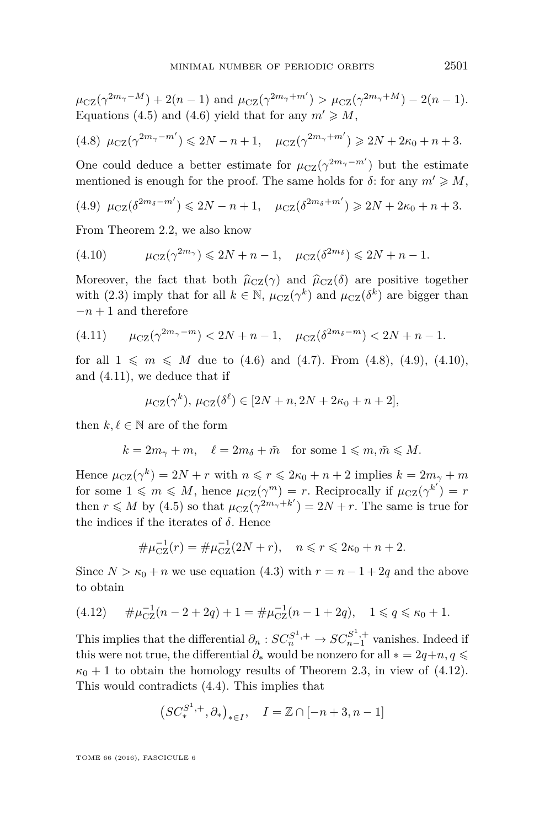$\mu_{\text{CZ}}(\gamma^{2m_{\gamma}-M}) + 2(n-1)$  and  $\mu_{\text{CZ}}(\gamma^{2m_{\gamma}+m'}) > \mu_{\text{CZ}}(\gamma^{2m_{\gamma}+M}) - 2(n-1)$ . Equations [\(4.5\)](#page-16-1) and [\(4.6\)](#page-16-2) yield that for any  $m' \geq M$ ,

<span id="page-17-0"></span>
$$
(4.8) \ \mu_{\text{CZ}}(\gamma^{2m_{\gamma}-m'}) \leq 2N - n + 1, \quad \mu_{\text{CZ}}(\gamma^{2m_{\gamma}+m'}) \geq 2N + 2\kappa_0 + n + 3.
$$

One could deduce a better estimate for  $\mu_{\text{CZ}}(\gamma^{2m_{\gamma}-m'})$  but the estimate mentioned is enough for the proof. The same holds for  $\delta$ : for any  $m' \geq M$ ,

<span id="page-17-1"></span>
$$
(4.9) \ \mu_{\text{CZ}}(\delta^{2m_{\delta}-m'}) \leq 2N - n + 1, \quad \mu_{\text{CZ}}(\delta^{2m_{\delta}+m'}) \geq 2N + 2\kappa_0 + n + 3.
$$

From Theorem [2.2,](#page-6-3) we also know

<span id="page-17-2"></span>(4.10) 
$$
\mu_{\text{CZ}}(\gamma^{2m_{\gamma}}) \leq 2N + n - 1, \quad \mu_{\text{CZ}}(\delta^{2m_{\delta}}) \leq 2N + n - 1.
$$

Moreover, the fact that both  $\hat{\mu}_{CZ}(\gamma)$  and  $\hat{\mu}_{CZ}(\delta)$  are positive together with [\(2.3\)](#page-6-0) imply that for all  $k \in \mathbb{N}$ ,  $\mu_{\text{CZ}}(\gamma^k)$  and  $\mu_{\text{CZ}}(\delta^k)$  are bigger than  $-n+1$  and therefore

<span id="page-17-3"></span>(4.11) 
$$
\mu_{\text{CZ}}(\gamma^{2m_{\gamma}-m}) < 2N + n - 1, \quad \mu_{\text{CZ}}(\delta^{2m_{\delta}-m}) < 2N + n - 1.
$$

for all  $1 \leq m \leq M$  due to [\(4.6\)](#page-16-2) and [\(4.7\)](#page-16-3). From [\(4.8\)](#page-17-0), [\(4.9\)](#page-17-1), [\(4.10\)](#page-17-2), and [\(4.11\)](#page-17-3), we deduce that if

$$
\mu_{\text{CZ}}(\gamma^k), \mu_{\text{CZ}}(\delta^\ell) \in [2N+n, 2N+2\kappa_0+n+2],
$$

then  $k, \ell \in \mathbb{N}$  are of the form

$$
k = 2m_{\gamma} + m, \quad \ell = 2m_{\delta} + \tilde{m} \quad \text{for some } 1 \leqslant m, \tilde{m} \leqslant M.
$$

Hence  $\mu_{\text{CZ}}(\gamma^k) = 2N + r$  with  $n \leq r \leq 2\kappa_0 + n + 2$  implies  $k = 2m_\gamma + m$ for some  $1 \leqslant m \leqslant M$ , hence  $\mu_{\text{CZ}}(\gamma^m) = r$ . Reciprocally if  $\mu_{\text{CZ}}(\gamma^{k'}) = r$ then  $r \leq M$  by [\(4.5\)](#page-16-1) so that  $\mu_{\text{CZ}}(\gamma^{2m_{\gamma}+k'}) = 2N + r$ . The same is true for the indices if the iterates of *δ*. Hence

$$
\# \mu_{\mathrm{CZ}}^{-1}(r) = \# \mu_{\mathrm{CZ}}^{-1}(2N + r), \quad n \leq r \leq 2\kappa_0 + n + 2.
$$

Since  $N > \kappa_0 + n$  we use equation [\(4.3\)](#page-16-4) with  $r = n - 1 + 2q$  and the above to obtain

<span id="page-17-4"></span>
$$
(4.12) \quad \# \mu_{\mathrm{CZ}}^{-1}(n-2+2q)+1 = \# \mu_{\mathrm{CZ}}^{-1}(n-1+2q), \quad 1 \leq q \leq \kappa_0 + 1.
$$

This implies that the differential  $\partial_n : SC_n^{S^1,+} \to SC_{n-1}^{S^1,+}$  vanishes. Indeed if this were not true, the differential  $\partial_*$  would be nonzero for all  $* = 2q+n, q \leq$  $\kappa_0 + 1$  to obtain the homology results of Theorem [2.3,](#page-11-2) in view of [\(4.12\)](#page-17-4). This would contradicts [\(4.4\)](#page-16-5). This implies that

$$
\left(SC^{S^1,+}_*,\partial_*\right)_{*\in I}, \quad I=\mathbb{Z}\cap[-n+3,n-1]
$$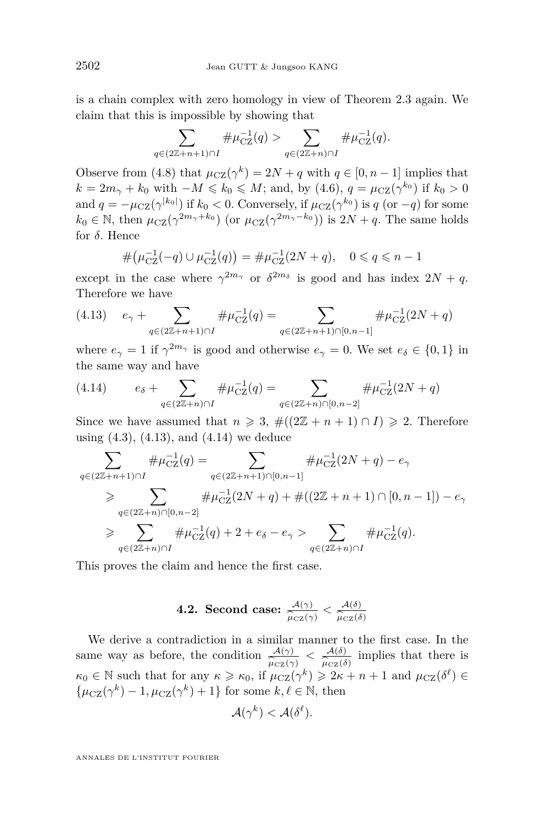is a chain complex with zero homology in view of Theorem [2.3](#page-11-2) again. We claim that this is impossible by showing that

$$
\sum_{q \in (2\mathbb{Z}+n+1)\cap I} \# \mu_{\mathrm{CZ}}^{-1}(q) > \sum_{q \in (2\mathbb{Z}+n)\cap I} \# \mu_{\mathrm{CZ}}^{-1}(q).
$$

Observe from [\(4.8\)](#page-17-0) that  $\mu_{\text{CZ}}(\gamma^k) = 2N + q$  with  $q \in [0, n-1]$  implies that *k* =  $2m_\gamma + k_0$  with  $-M \le k_0 \le M$ ; and, by [\(4.6\)](#page-16-2),  $q = \mu_{\text{CZ}}(\gamma^{k_0})$  if  $k_0 > 0$ and  $q = -\mu_{\text{CZ}}(\gamma^{|k_0|})$  if  $k_0 < 0$ . Conversely, if  $\mu_{\text{CZ}}(\gamma^{k_0})$  is  $q$  (or  $-q$ ) for some  $k_0 \in \mathbb{N}$ , then  $\mu_{\text{CZ}}(\gamma^{2m_\gamma+k_0})$  (or  $\mu_{\text{CZ}}(\gamma^{2m_\gamma-k_0})$ ) is  $2N+q$ . The same holds for *δ*. Hence

$$
\#(\mu_{\mathrm{CZ}}^{-1}(-q) \cup \mu_{\mathrm{CZ}}^{-1}(q)) = \# \mu_{\mathrm{CZ}}^{-1}(2N+q), \quad 0 \leq q \leq n-1
$$

except in the case where  $\gamma^{2m_{\gamma}}$  or  $\delta^{2m_{\delta}}$  is good and has index  $2N + q$ . Therefore we have

<span id="page-18-0"></span>
$$
(4.13) \quad e_{\gamma} + \sum_{q \in (2\mathbb{Z}+n+1)\cap I} \# \mu_{\mathrm{CZ}}^{-1}(q) = \sum_{q \in (2\mathbb{Z}+n+1)\cap [0,n-1]} \# \mu_{\mathrm{CZ}}^{-1}(2N+q)
$$

where  $e_{\gamma} = 1$  if  $\gamma^{2m_{\gamma}}$  is good and otherwise  $e_{\gamma} = 0$ . We set  $e_{\delta} \in \{0, 1\}$  in the same way and have

<span id="page-18-1"></span>
$$
(4.14) \qquad e_{\delta} + \sum_{q \in (2\mathbb{Z}+n)\cap I} \# \mu_{\mathrm{CZ}}^{-1}(q) = \sum_{q \in (2\mathbb{Z}+n)\cap [0,n-2]} \# \mu_{\mathrm{CZ}}^{-1}(2N+q)
$$

Since we have assumed that  $n \geq 3$ ,  $\#((2\mathbb{Z}+n+1) \cap I) \geq 2$ . Therefore using  $(4.3)$ ,  $(4.13)$ , and  $(4.14)$  we deduce

$$
\sum_{q \in (2\mathbb{Z}+n+1)\cap I} \# \mu_{\text{CZ}}^{-1}(q) = \sum_{q \in (2\mathbb{Z}+n+1)\cap [0,n-1]} \# \mu_{\text{CZ}}^{-1}(2N+q) - e_{\gamma}
$$
\n
$$
\geq \sum_{q \in (2\mathbb{Z}+n)\cap [0,n-2]} \# \mu_{\text{CZ}}^{-1}(2N+q) + \#((2\mathbb{Z}+n+1)\cap [0,n-1]) - e_{\gamma}
$$
\n
$$
\geq \sum_{q \in (2\mathbb{Z}+n)\cap I} \# \mu_{\text{CZ}}^{-1}(q) + 2 + e_{\delta} - e_{\gamma} > \sum_{q \in (2\mathbb{Z}+n)\cap I} \# \mu_{\text{CZ}}^{-1}(q).
$$

This proves the claim and hence the first case.

**4.2. Second case:** 
$$
\frac{\mathcal{A}(\gamma)}{\hat{\mu}_{CZ}(\gamma)} < \frac{\mathcal{A}(\delta)}{\hat{\mu}_{CZ}(\delta)}
$$

We derive a contradiction in a similar manner to the first case. In the same way as before, the condition  $\frac{\mathcal{A}(\gamma)}{\gamma} < \frac{\mathcal{A}(\delta)}{\gamma}$  implies that there is  $\kappa_0 \in \mathbb{N}$  such that for any  $\kappa \geqslant \kappa_0$ , if  $\mu_{\text{CZ}}(\gamma) \geqslant 2\kappa + n + 1$  and  $\mu_{\text{CZ}}(\delta^{\ell}) \in$  $\{\mu_{\text{CZ}}(\gamma^k) - 1, \mu_{\text{CZ}}(\gamma^k) + 1\}$  for some  $k, \ell \in \mathbb{N}$ , then

$$
\mathcal{A}(\gamma^k) < \mathcal{A}(\delta^\ell).
$$

ANNALES DE L'INSTITUT FOURIER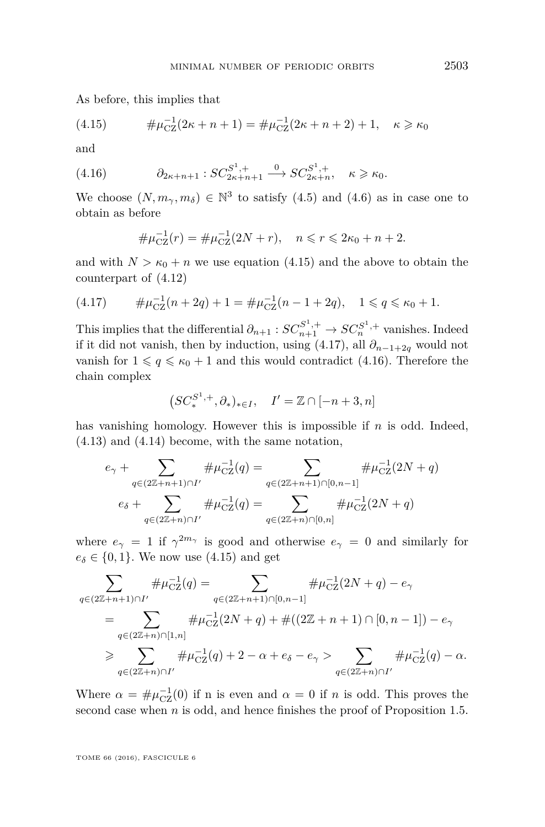As before, this implies that

<span id="page-19-0"></span>(4.15) 
$$
\# \mu_{CZ}^{-1}(2\kappa + n + 1) = \# \mu_{CZ}^{-1}(2\kappa + n + 2) + 1, \quad \kappa \geq \kappa_0
$$

and

(4.16) 
$$
\partial_{2\kappa+n+1}: SC_{2\kappa+n+1}^{S^1,+} \xrightarrow{0} SC_{2\kappa+n}^{S^1,+}, \quad \kappa \geq \kappa_0.
$$

We choose  $(N, m_\gamma, m_\delta) \in \mathbb{N}^3$  to satisfy [\(4.5\)](#page-16-1) and [\(4.6\)](#page-16-2) as in case one to obtain as before

<span id="page-19-2"></span>
$$
\# \mu_{\mathrm{CZ}}^{-1}(r) = \# \mu_{\mathrm{CZ}}^{-1}(2N + r), \quad n \leq r \leq 2\kappa_0 + n + 2.
$$

and with  $N > \kappa_0 + n$  we use equation [\(4.15\)](#page-19-0) and the above to obtain the counterpart of [\(4.12\)](#page-17-4)

<span id="page-19-1"></span>(4.17) 
$$
\#\mu_{\text{CZ}}^{-1}(n+2q)+1=\#\mu_{\text{CZ}}^{-1}(n-1+2q), \quad 1 \leq q \leq \kappa_0+1.
$$

This implies that the differential  $\partial_{n+1} : SC_{n+1}^{S^1,+} \to SC_n^{S^1,+}$  vanishes. Indeed if it did not vanish, then by induction, using  $(4.17)$ , all  $\partial_{n-1+2q}$  would not vanish for  $1 \leq q \leq \kappa_0 + 1$  and this would contradict [\(4.16\)](#page-19-2). Therefore the chain complex

$$
(SC_*^{S^1,+}, \partial_*)_{* \in I}, \quad I' = \mathbb{Z} \cap [-n+3, n]
$$

has vanishing homology. However this is impossible if *n* is odd. Indeed, [\(4.13\)](#page-18-0) and [\(4.14\)](#page-18-1) become, with the same notation,

$$
e_{\gamma} + \sum_{q \in (2\mathbb{Z}+n+1)\cap I'} \# \mu_{\mathrm{CZ}}^{-1}(q) = \sum_{q \in (2\mathbb{Z}+n+1)\cap [0,n-1]} \# \mu_{\mathrm{CZ}}^{-1}(2N+q)
$$

$$
e_{\delta} + \sum_{q \in (2\mathbb{Z}+n)\cap I'} \# \mu_{\mathrm{CZ}}^{-1}(q) = \sum_{q \in (2\mathbb{Z}+n)\cap [0,n]} \# \mu_{\mathrm{CZ}}^{-1}(2N+q)
$$

where  $e_\gamma = 1$  if  $\gamma^{2m_\gamma}$  is good and otherwise  $e_\gamma = 0$  and similarly for  $e_{\delta} \in \{0, 1\}$ . We now use  $(4.15)$  and get

$$
\sum_{q \in (2\mathbb{Z}+n+1)\cap I'} \# \mu_{\mathrm{CZ}}^{-1}(q) = \sum_{q \in (2\mathbb{Z}+n+1)\cap [0,n-1]} \# \mu_{\mathrm{CZ}}^{-1}(2N+q) - e_{\gamma}
$$
\n
$$
= \sum_{q \in (2\mathbb{Z}+n)\cap [1,n]} \# \mu_{\mathrm{CZ}}^{-1}(2N+q) + \#((2\mathbb{Z}+n+1)\cap [0,n-1]) - e_{\gamma}
$$
\n
$$
\geq \sum_{q \in (2\mathbb{Z}+n)\cap I'} \# \mu_{\mathrm{CZ}}^{-1}(q) + 2 - \alpha + e_{\delta} - e_{\gamma} > \sum_{q \in (2\mathbb{Z}+n)\cap I'} \# \mu_{\mathrm{CZ}}^{-1}(q) - \alpha.
$$

Where  $\alpha = \# \mu_{\text{CZ}}^{-1}(0)$  if n is even and  $\alpha = 0$  if *n* is odd. This proves the second case when *n* is odd, and hence finishes the proof of Proposition [1.5.](#page-4-1)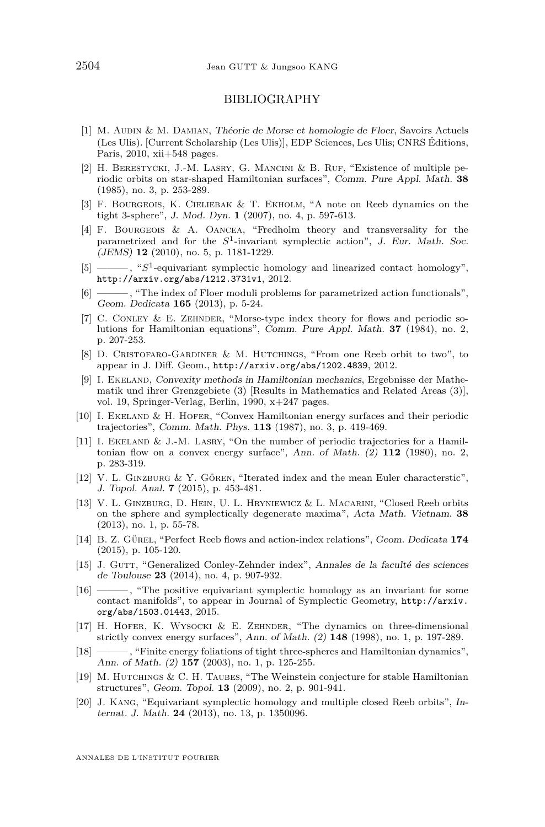#### BIBLIOGRAPHY

- <span id="page-20-12"></span>[1] M. Audin & M. Damian, Théorie de Morse et homologie de Floer, Savoirs Actuels (Les Ulis). [Current Scholarship (Les Ulis)], EDP Sciences, Les Ulis; CNRS Éditions, Paris,  $2010$ , xii+548 pages.
- <span id="page-20-6"></span>[2] H. Berestycki, J.-M. Lasry, G. Mancini & B. Ruf, "Existence of multiple periodic orbits on star-shaped Hamiltonian surfaces", Comm. Pure Appl. Math. **38** (1985), no. 3, p. 253-289.
- <span id="page-20-19"></span>[3] F. BOURGEOIS, K. CIELIEBAK & T. EKHOLM, "A note on Reeb dynamics on the tight 3-sphere", J. Mod. Dyn. **1** (2007), no. 4, p. 597-613.
- <span id="page-20-15"></span>[4] F. Bourgeois & A. Oancea, "Fredholm theory and transversality for the parametrized and for the  $S^1$ -invariant symplectic action", J. Eur. Math. Soc. (JEMS) **12** (2010), no. 5, p. 1181-1229.
- <span id="page-20-16"></span>[5] ——, "S<sup>1</sup>-equivariant symplectic homology and linearized contact homology", <http://arxiv.org/abs/1212.3731v1>, 2012.
- <span id="page-20-17"></span>[6] ——— , "The index of Floer moduli problems for parametrized action functionals", Geom. Dedicata **165** (2013), p. 5-24.
- <span id="page-20-13"></span>[7] C. CONLEY & E. ZEHNDER, "Morse-type index theory for flows and periodic solutions for Hamiltonian equations", Comm. Pure Appl. Math. **37** (1984), no. 2, p. 207-253.
- <span id="page-20-0"></span>[8] D. Cristofaro-Gardiner & M. Hutchings, "From one Reeb orbit to two", to appear in J. Diff. Geom., <http://arxiv.org/abs/1202.4839>, 2012.
- <span id="page-20-11"></span>[9] I. Ekeland, Convexity methods in Hamiltonian mechanics, Ergebnisse der Mathematik und ihrer Grenzgebiete (3) [Results in Mathematics and Related Areas (3)], vol. 19, Springer-Verlag, Berlin, 1990, x+247 pages.
- <span id="page-20-7"></span>[10] I. Ekeland & H. Hofer, "Convex Hamiltonian energy surfaces and their periodic trajectories", Comm. Math. Phys. **113** (1987), no. 3, p. 419-469.
- <span id="page-20-8"></span> $[11]$  I. EKELAND & J.-M. LASRY, "On the number of periodic trajectories for a Hamiltonian flow on a convex energy surface", Ann. of Math. (2) **112** (1980), no. 2, p. 283-319.
- <span id="page-20-1"></span>[12] V. L. Ginzburg & Y. Gören, "Iterated index and the mean Euler characterstic", J. Topol. Anal. **7** (2015), p. 453-481.
- <span id="page-20-2"></span>[13] V. L. Ginzburg, D. Hein, U. L. Hryniewicz & L. Macarini, "Closed Reeb orbits on the sphere and symplectically degenerate maxima", Acta Math. Vietnam. **38** (2013), no. 1, p. 55-78.
- <span id="page-20-9"></span>[14] B. Z. Gürel, "Perfect Reeb flows and action-index relations", Geom. Dedicata **174** (2015), p. 105-120.
- <span id="page-20-14"></span>[15] J. GUTT, "Generalized Conley-Zehnder index", Annales de la faculté des sciences de Toulouse **23** (2014), no. 4, p. 907-932.
- <span id="page-20-18"></span>[16] ——— , "The positive equivariant symplectic homology as an invariant for some contact manifolds", to appear in Journal of Symplectic Geometry, [http://arxiv.](http://arxiv.org/abs/1503.01443) [org/abs/1503.01443](http://arxiv.org/abs/1503.01443), 2015.
- <span id="page-20-3"></span>[17] H. Hofer, K. Wysocki & E. Zehnder, "The dynamics on three-dimensional strictly convex energy surfaces", Ann. of Math. (2) **148** (1998), no. 1, p. 197-289.
- <span id="page-20-4"></span>[18] ——— , "Finite energy foliations of tight three-spheres and Hamiltonian dynamics", Ann. of Math. (2) **157** (2003), no. 1, p. 125-255.
- <span id="page-20-5"></span>[19] M. HUTCHINGS & C. H. TAUBES, "The Weinstein conjecture for stable Hamiltonian structures", Geom. Topol. **13** (2009), no. 2, p. 901-941.
- <span id="page-20-10"></span>[20] J. Kang, "Equivariant symplectic homology and multiple closed Reeb orbits", Internat. J. Math. **24** (2013), no. 13, p. 1350096.